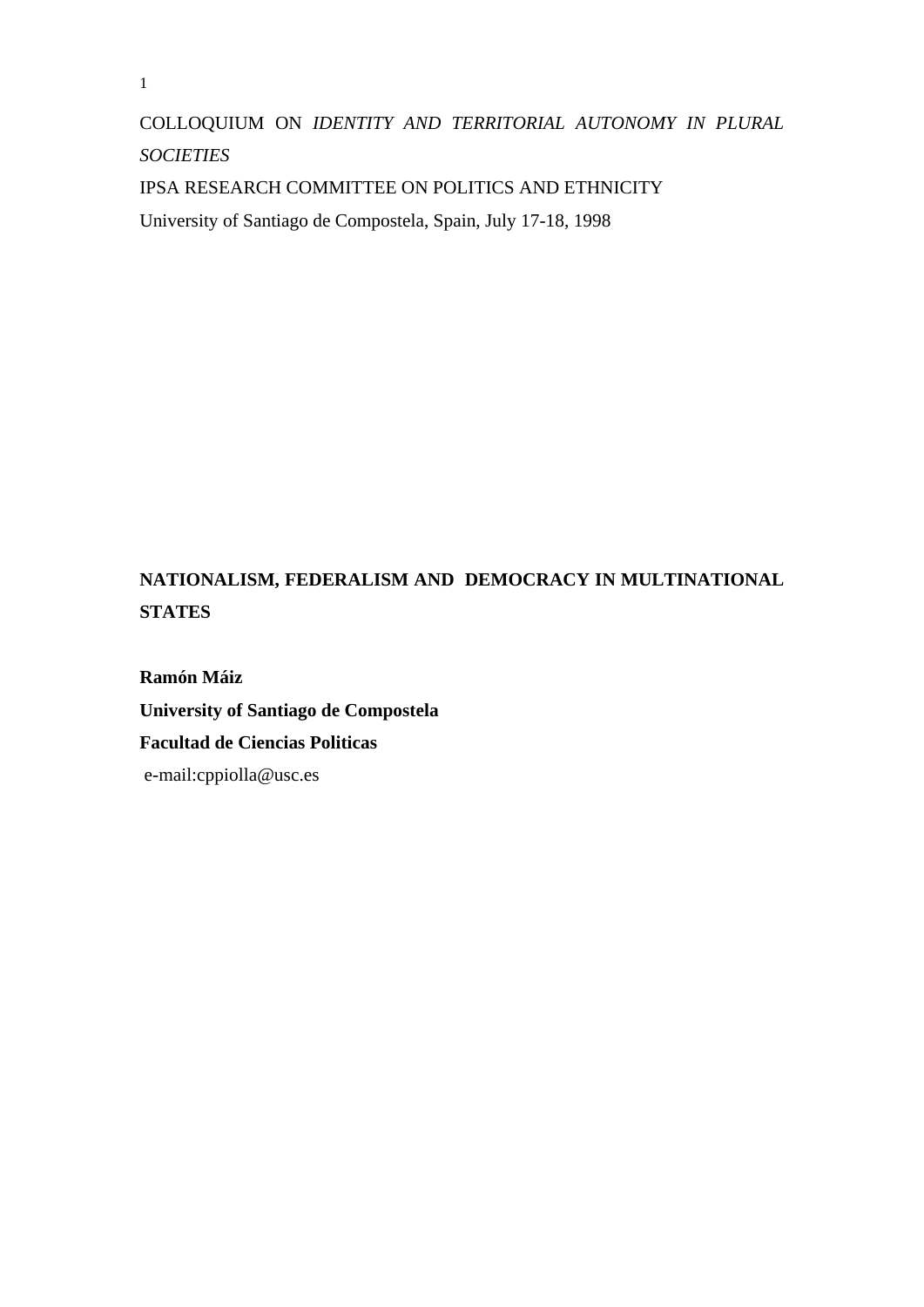COLLOQUIUM ON *IDENTITY AND TERRITORIAL AUTONOMY IN PLURAL SOCIETIES* 

IPSA RESEARCH COMMITTEE ON POLITICS AND ETHNICITY

University of Santiago de Compostela, Spain, July 17-18, 1998

## **NATIONALISM, FEDERALISM AND DEMOCRACY IN MULTINATIONAL STATES**

**Ramón Máiz University of Santiago de Compostela Facultad de Ciencias Politicas**  e-mail:cppiolla@usc.es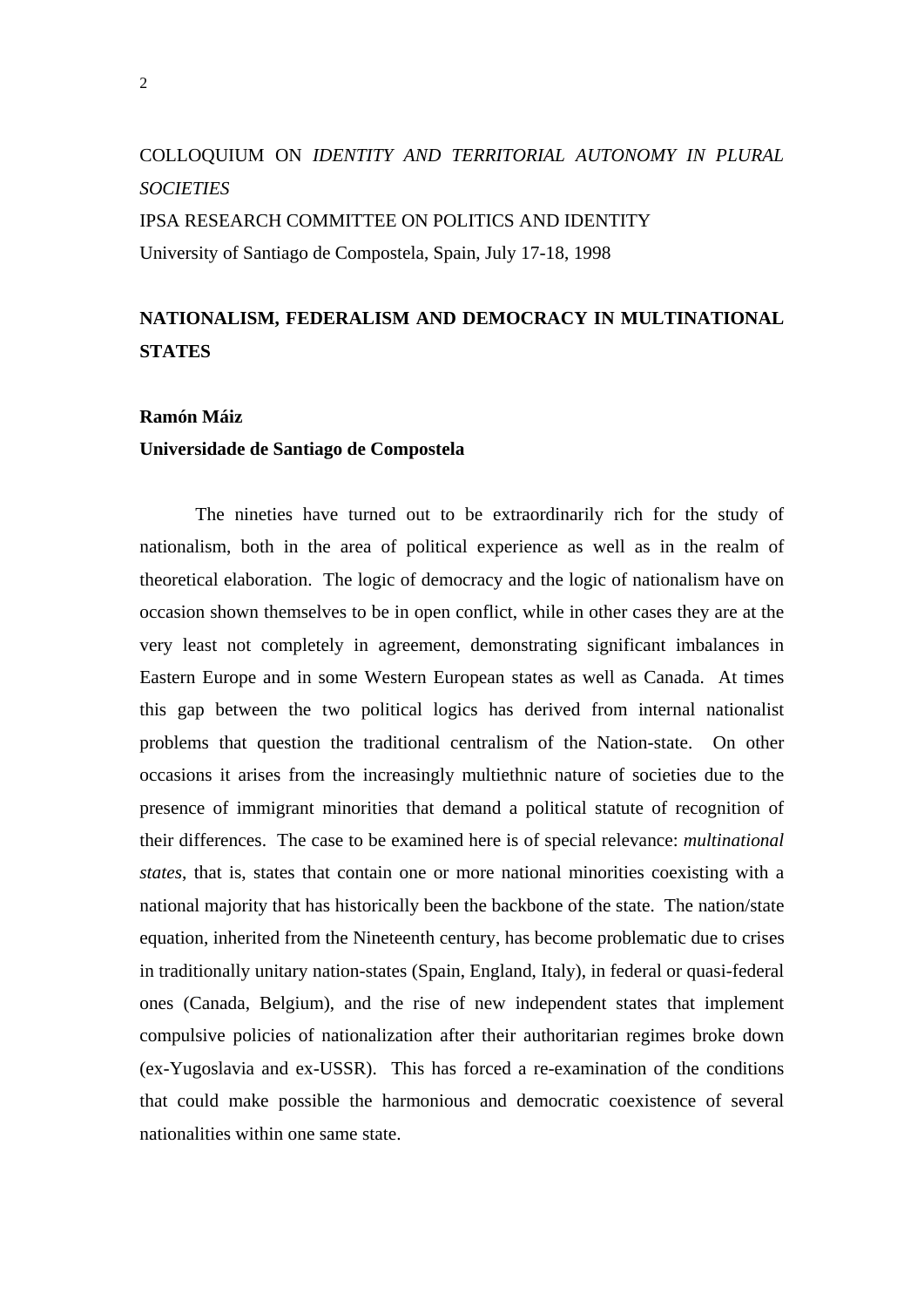# COLLOQUIUM ON *IDENTITY AND TERRITORIAL AUTONOMY IN PLURAL SOCIETIES*  IPSA RESEARCH COMMITTEE ON POLITICS AND IDENTITY University of Santiago de Compostela, Spain, July 17-18, 1998

### **NATIONALISM, FEDERALISM AND DEMOCRACY IN MULTINATIONAL STATES**

### **Ramón Máiz**

#### **Universidade de Santiago de Compostela**

The nineties have turned out to be extraordinarily rich for the study of nationalism, both in the area of political experience as well as in the realm of theoretical elaboration. The logic of democracy and the logic of nationalism have on occasion shown themselves to be in open conflict, while in other cases they are at the very least not completely in agreement, demonstrating significant imbalances in Eastern Europe and in some Western European states as well as Canada. At times this gap between the two political logics has derived from internal nationalist problems that question the traditional centralism of the Nation-state. On other occasions it arises from the increasingly multiethnic nature of societies due to the presence of immigrant minorities that demand a political statute of recognition of their differences. The case to be examined here is of special relevance: *multinational states*, that is, states that contain one or more national minorities coexisting with a national majority that has historically been the backbone of the state. The nation/state equation, inherited from the Nineteenth century, has become problematic due to crises in traditionally unitary nation-states (Spain, England, Italy), in federal or quasi-federal ones (Canada, Belgium), and the rise of new independent states that implement compulsive policies of nationalization after their authoritarian regimes broke down (ex-Yugoslavia and ex-USSR). This has forced a re-examination of the conditions that could make possible the harmonious and democratic coexistence of several nationalities within one same state.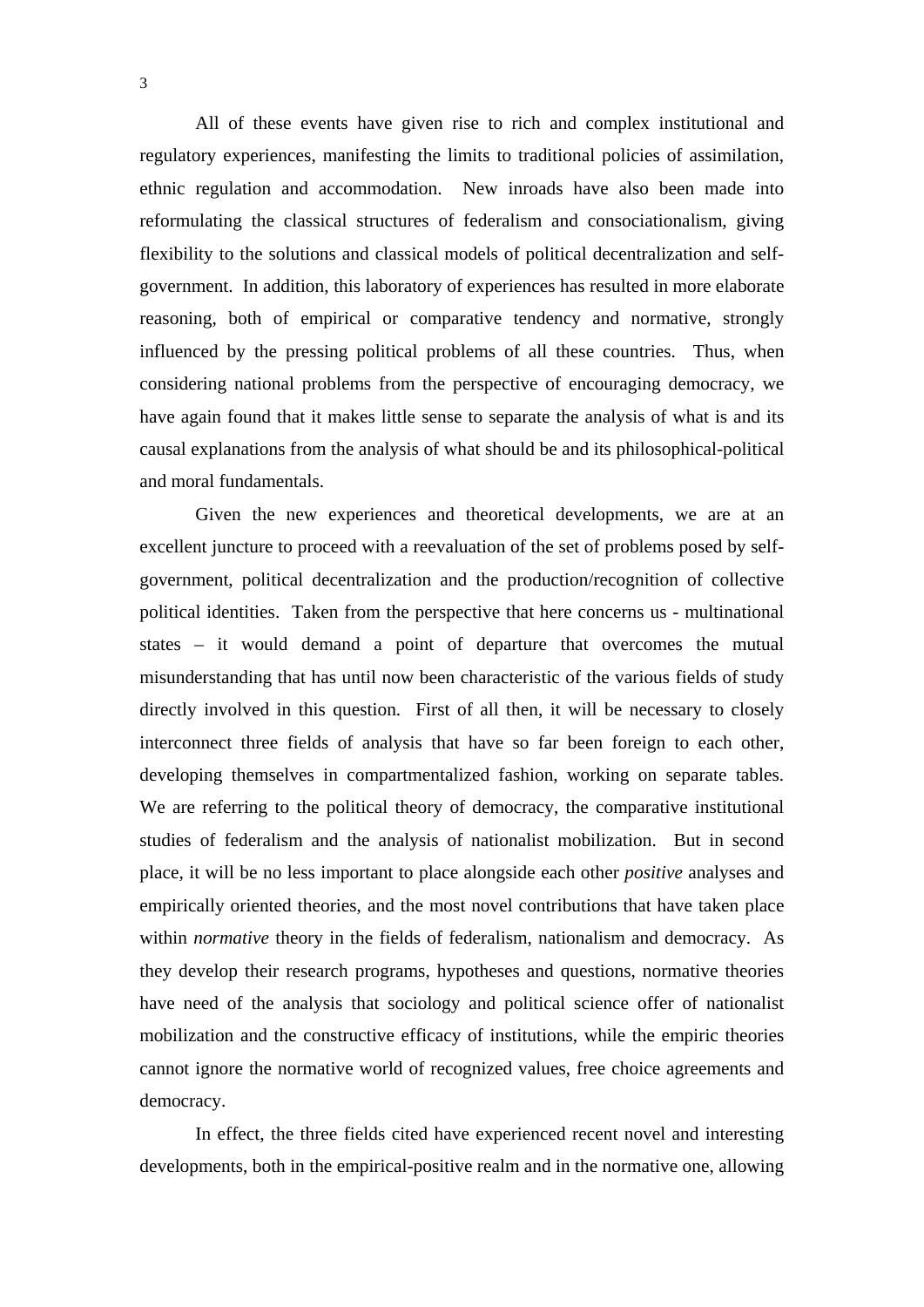All of these events have given rise to rich and complex institutional and regulatory experiences, manifesting the limits to traditional policies of assimilation, ethnic regulation and accommodation. New inroads have also been made into reformulating the classical structures of federalism and consociationalism, giving flexibility to the solutions and classical models of political decentralization and selfgovernment. In addition, this laboratory of experiences has resulted in more elaborate reasoning, both of empirical or comparative tendency and normative, strongly influenced by the pressing political problems of all these countries. Thus, when considering national problems from the perspective of encouraging democracy, we have again found that it makes little sense to separate the analysis of what is and its causal explanations from the analysis of what should be and its philosophical-political and moral fundamentals.

 Given the new experiences and theoretical developments, we are at an excellent juncture to proceed with a reevaluation of the set of problems posed by selfgovernment, political decentralization and the production/recognition of collective political identities. Taken from the perspective that here concerns us - multinational states – it would demand a point of departure that overcomes the mutual misunderstanding that has until now been characteristic of the various fields of study directly involved in this question. First of all then, it will be necessary to closely interconnect three fields of analysis that have so far been foreign to each other, developing themselves in compartmentalized fashion, working on separate tables. We are referring to the political theory of democracy, the comparative institutional studies of federalism and the analysis of nationalist mobilization. But in second place, it will be no less important to place alongside each other *positive* analyses and empirically oriented theories, and the most novel contributions that have taken place within *normative* theory in the fields of federalism, nationalism and democracy. As they develop their research programs, hypotheses and questions, normative theories have need of the analysis that sociology and political science offer of nationalist mobilization and the constructive efficacy of institutions, while the empiric theories cannot ignore the normative world of recognized values, free choice agreements and democracy.

 In effect, the three fields cited have experienced recent novel and interesting developments, both in the empirical-positive realm and in the normative one, allowing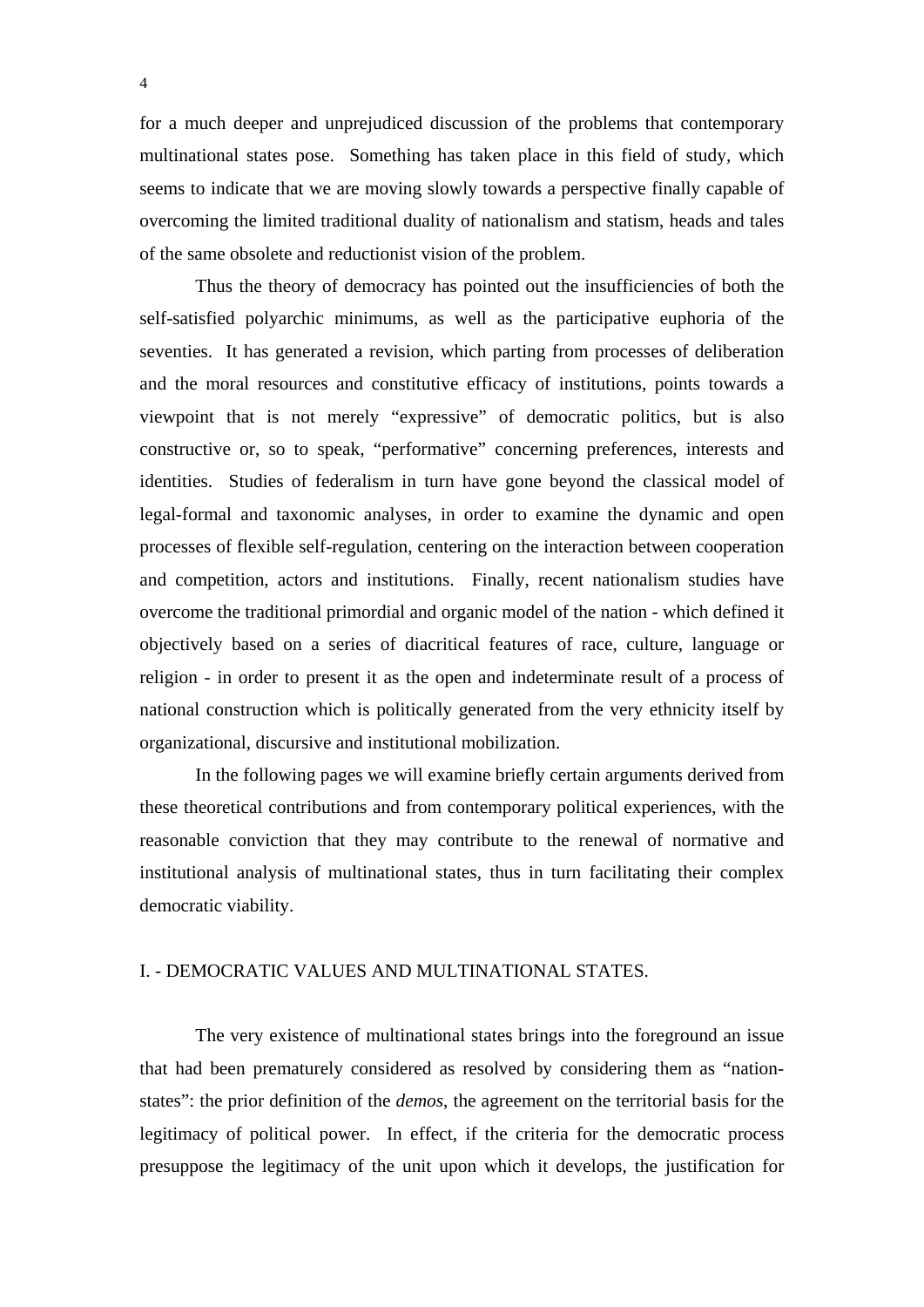for a much deeper and unprejudiced discussion of the problems that contemporary multinational states pose. Something has taken place in this field of study, which seems to indicate that we are moving slowly towards a perspective finally capable of overcoming the limited traditional duality of nationalism and statism, heads and tales of the same obsolete and reductionist vision of the problem.

 Thus the theory of democracy has pointed out the insufficiencies of both the self-satisfied polyarchic minimums, as well as the participative euphoria of the seventies. It has generated a revision, which parting from processes of deliberation and the moral resources and constitutive efficacy of institutions, points towards a viewpoint that is not merely "expressive" of democratic politics, but is also constructive or, so to speak, "performative" concerning preferences, interests and identities. Studies of federalism in turn have gone beyond the classical model of legal-formal and taxonomic analyses, in order to examine the dynamic and open processes of flexible self-regulation, centering on the interaction between cooperation and competition, actors and institutions. Finally, recent nationalism studies have overcome the traditional primordial and organic model of the nation - which defined it objectively based on a series of diacritical features of race, culture, language or religion - in order to present it as the open and indeterminate result of a process of national construction which is politically generated from the very ethnicity itself by organizational, discursive and institutional mobilization.

 In the following pages we will examine briefly certain arguments derived from these theoretical contributions and from contemporary political experiences, with the reasonable conviction that they may contribute to the renewal of normative and institutional analysis of multinational states, thus in turn facilitating their complex democratic viability.

#### I. - DEMOCRATIC VALUES AND MULTINATIONAL STATES.

 The very existence of multinational states brings into the foreground an issue that had been prematurely considered as resolved by considering them as "nationstates": the prior definition of the *demos*, the agreement on the territorial basis for the legitimacy of political power. In effect, if the criteria for the democratic process presuppose the legitimacy of the unit upon which it develops, the justification for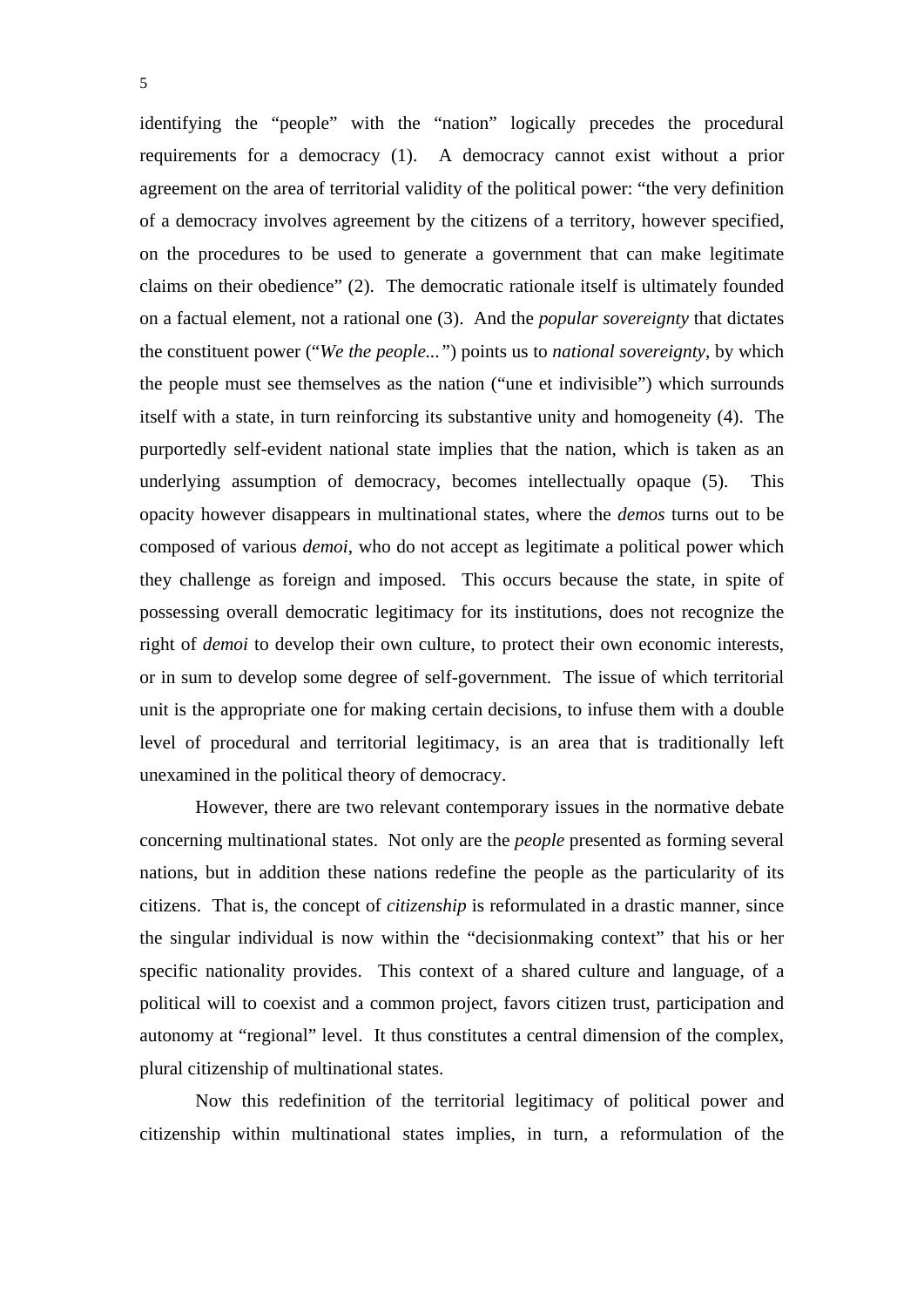identifying the "people" with the "nation" logically precedes the procedural requirements for a democracy (1). A democracy cannot exist without a prior agreement on the area of territorial validity of the political power: "the very definition of a democracy involves agreement by the citizens of a territory, however specified, on the procedures to be used to generate a government that can make legitimate claims on their obedience" (2). The democratic rationale itself is ultimately founded on a factual element, not a rational one (3). And the *popular sovereignty* that dictates the constituent power ("*We the people..."*) points us to *national sovereignty*, by which the people must see themselves as the nation ("une et indivisible") which surrounds itself with a state, in turn reinforcing its substantive unity and homogeneity (4). The purportedly self-evident national state implies that the nation, which is taken as an underlying assumption of democracy, becomes intellectually opaque (5). This opacity however disappears in multinational states, where the *demos* turns out to be composed of various *demoi*, who do not accept as legitimate a political power which they challenge as foreign and imposed. This occurs because the state, in spite of possessing overall democratic legitimacy for its institutions, does not recognize the right of *demoi* to develop their own culture, to protect their own economic interests, or in sum to develop some degree of self-government. The issue of which territorial unit is the appropriate one for making certain decisions, to infuse them with a double level of procedural and territorial legitimacy, is an area that is traditionally left unexamined in the political theory of democracy.

 However, there are two relevant contemporary issues in the normative debate concerning multinational states. Not only are the *people* presented as forming several nations, but in addition these nations redefine the people as the particularity of its citizens. That is, the concept of *citizenship* is reformulated in a drastic manner, since the singular individual is now within the "decisionmaking context" that his or her specific nationality provides. This context of a shared culture and language, of a political will to coexist and a common project, favors citizen trust, participation and autonomy at "regional" level. It thus constitutes a central dimension of the complex, plural citizenship of multinational states.

 Now this redefinition of the territorial legitimacy of political power and citizenship within multinational states implies, in turn, a reformulation of the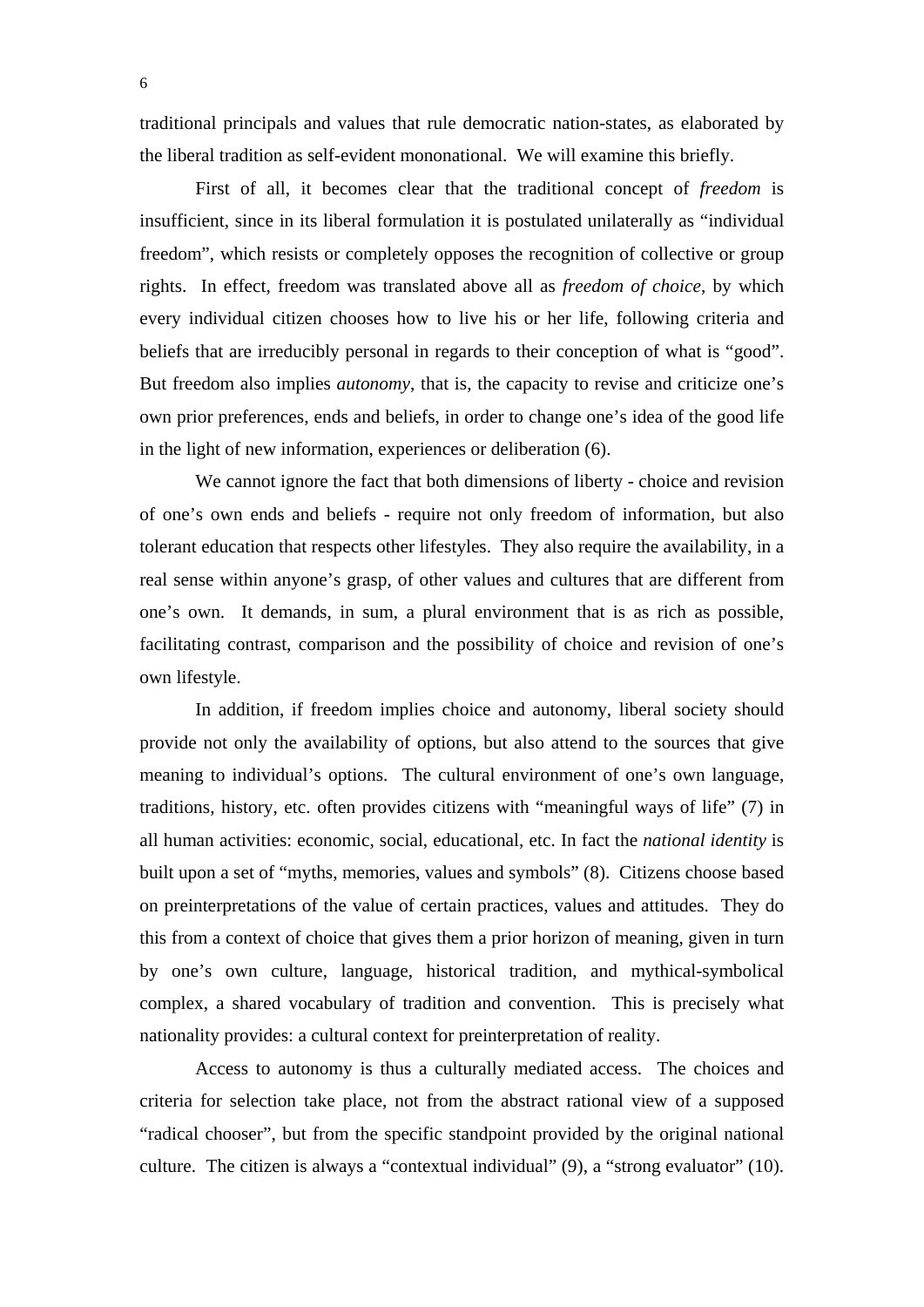traditional principals and values that rule democratic nation-states, as elaborated by the liberal tradition as self-evident mononational. We will examine this briefly.

 First of all, it becomes clear that the traditional concept of *freedom* is insufficient, since in its liberal formulation it is postulated unilaterally as "individual freedom", which resists or completely opposes the recognition of collective or group rights. In effect, freedom was translated above all as *freedom of choice*, by which every individual citizen chooses how to live his or her life, following criteria and beliefs that are irreducibly personal in regards to their conception of what is "good". But freedom also implies *autonomy*, that is, the capacity to revise and criticize one's own prior preferences, ends and beliefs, in order to change one's idea of the good life in the light of new information, experiences or deliberation (6).

 We cannot ignore the fact that both dimensions of liberty - choice and revision of one's own ends and beliefs - require not only freedom of information, but also tolerant education that respects other lifestyles. They also require the availability, in a real sense within anyone's grasp, of other values and cultures that are different from one's own. It demands, in sum, a plural environment that is as rich as possible, facilitating contrast, comparison and the possibility of choice and revision of one's own lifestyle.

 In addition, if freedom implies choice and autonomy, liberal society should provide not only the availability of options, but also attend to the sources that give meaning to individual's options. The cultural environment of one's own language, traditions, history, etc. often provides citizens with "meaningful ways of life" (7) in all human activities: economic, social, educational, etc. In fact the *national identity* is built upon a set of "myths, memories, values and symbols" (8). Citizens choose based on preinterpretations of the value of certain practices, values and attitudes. They do this from a context of choice that gives them a prior horizon of meaning, given in turn by one's own culture, language, historical tradition, and mythical-symbolical complex, a shared vocabulary of tradition and convention. This is precisely what nationality provides: a cultural context for preinterpretation of reality.

 Access to autonomy is thus a culturally mediated access. The choices and criteria for selection take place, not from the abstract rational view of a supposed "radical chooser", but from the specific standpoint provided by the original national culture. The citizen is always a "contextual individual" (9), a "strong evaluator" (10).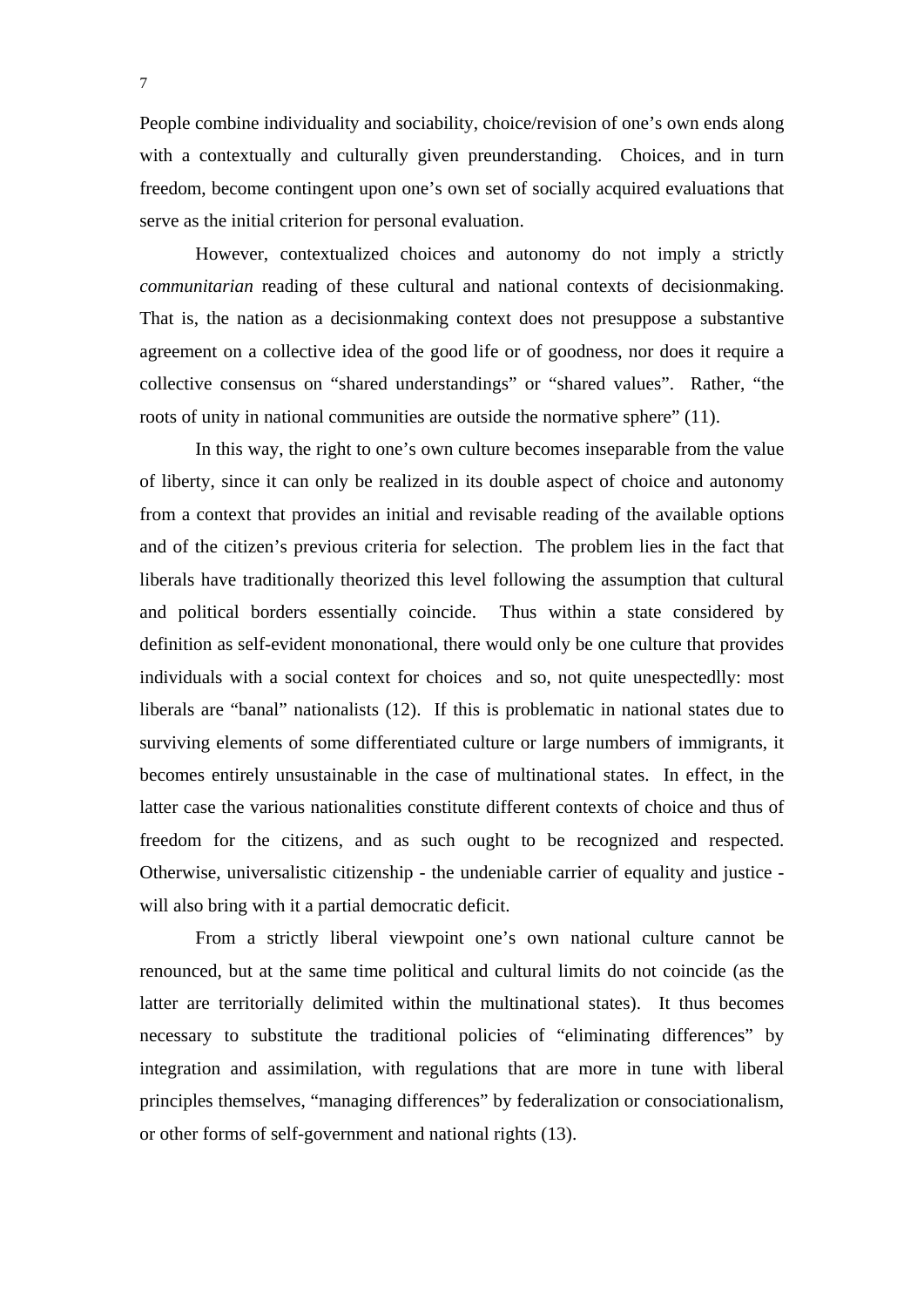People combine individuality and sociability, choice/revision of one's own ends along with a contextually and culturally given preunderstanding. Choices, and in turn freedom, become contingent upon one's own set of socially acquired evaluations that serve as the initial criterion for personal evaluation.

 However, contextualized choices and autonomy do not imply a strictly *communitarian* reading of these cultural and national contexts of decisionmaking. That is, the nation as a decisionmaking context does not presuppose a substantive agreement on a collective idea of the good life or of goodness, nor does it require a collective consensus on "shared understandings" or "shared values". Rather, "the roots of unity in national communities are outside the normative sphere" (11).

 In this way, the right to one's own culture becomes inseparable from the value of liberty, since it can only be realized in its double aspect of choice and autonomy from a context that provides an initial and revisable reading of the available options and of the citizen's previous criteria for selection. The problem lies in the fact that liberals have traditionally theorized this level following the assumption that cultural and political borders essentially coincide. Thus within a state considered by definition as self-evident mononational, there would only be one culture that provides individuals with a social context for choices and so, not quite unespectedlly: most liberals are "banal" nationalists (12). If this is problematic in national states due to surviving elements of some differentiated culture or large numbers of immigrants, it becomes entirely unsustainable in the case of multinational states. In effect, in the latter case the various nationalities constitute different contexts of choice and thus of freedom for the citizens, and as such ought to be recognized and respected. Otherwise, universalistic citizenship - the undeniable carrier of equality and justice will also bring with it a partial democratic deficit.

 From a strictly liberal viewpoint one's own national culture cannot be renounced, but at the same time political and cultural limits do not coincide (as the latter are territorially delimited within the multinational states). It thus becomes necessary to substitute the traditional policies of "eliminating differences" by integration and assimilation, with regulations that are more in tune with liberal principles themselves, "managing differences" by federalization or consociationalism, or other forms of self-government and national rights (13).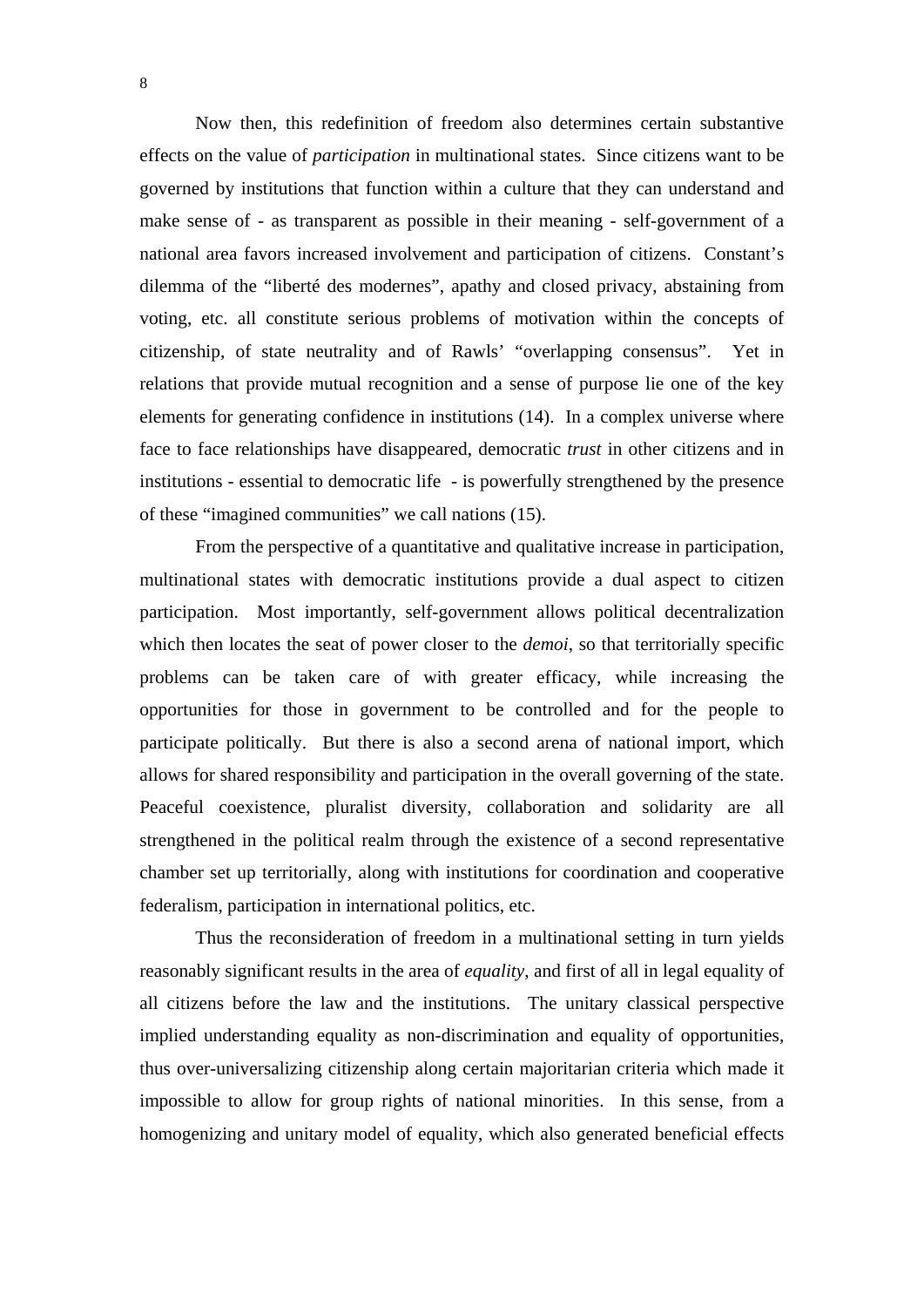Now then, this redefinition of freedom also determines certain substantive effects on the value of *participation* in multinational states. Since citizens want to be governed by institutions that function within a culture that they can understand and make sense of - as transparent as possible in their meaning - self-government of a national area favors increased involvement and participation of citizens. Constant's dilemma of the "liberté des modernes", apathy and closed privacy, abstaining from voting, etc. all constitute serious problems of motivation within the concepts of citizenship, of state neutrality and of Rawls' "overlapping consensus". Yet in relations that provide mutual recognition and a sense of purpose lie one of the key elements for generating confidence in institutions (14). In a complex universe where face to face relationships have disappeared, democratic *trust* in other citizens and in institutions - essential to democratic life - is powerfully strengthened by the presence of these "imagined communities" we call nations (15).

 From the perspective of a quantitative and qualitative increase in participation, multinational states with democratic institutions provide a dual aspect to citizen participation. Most importantly, self-government allows political decentralization which then locates the seat of power closer to the *demoi*, so that territorially specific problems can be taken care of with greater efficacy, while increasing the opportunities for those in government to be controlled and for the people to participate politically. But there is also a second arena of national import, which allows for shared responsibility and participation in the overall governing of the state. Peaceful coexistence, pluralist diversity, collaboration and solidarity are all strengthened in the political realm through the existence of a second representative chamber set up territorially, along with institutions for coordination and cooperative federalism, participation in international politics, etc.

 Thus the reconsideration of freedom in a multinational setting in turn yields reasonably significant results in the area of *equality*, and first of all in legal equality of all citizens before the law and the institutions. The unitary classical perspective implied understanding equality as non-discrimination and equality of opportunities, thus over-universalizing citizenship along certain majoritarian criteria which made it impossible to allow for group rights of national minorities. In this sense, from a homogenizing and unitary model of equality, which also generated beneficial effects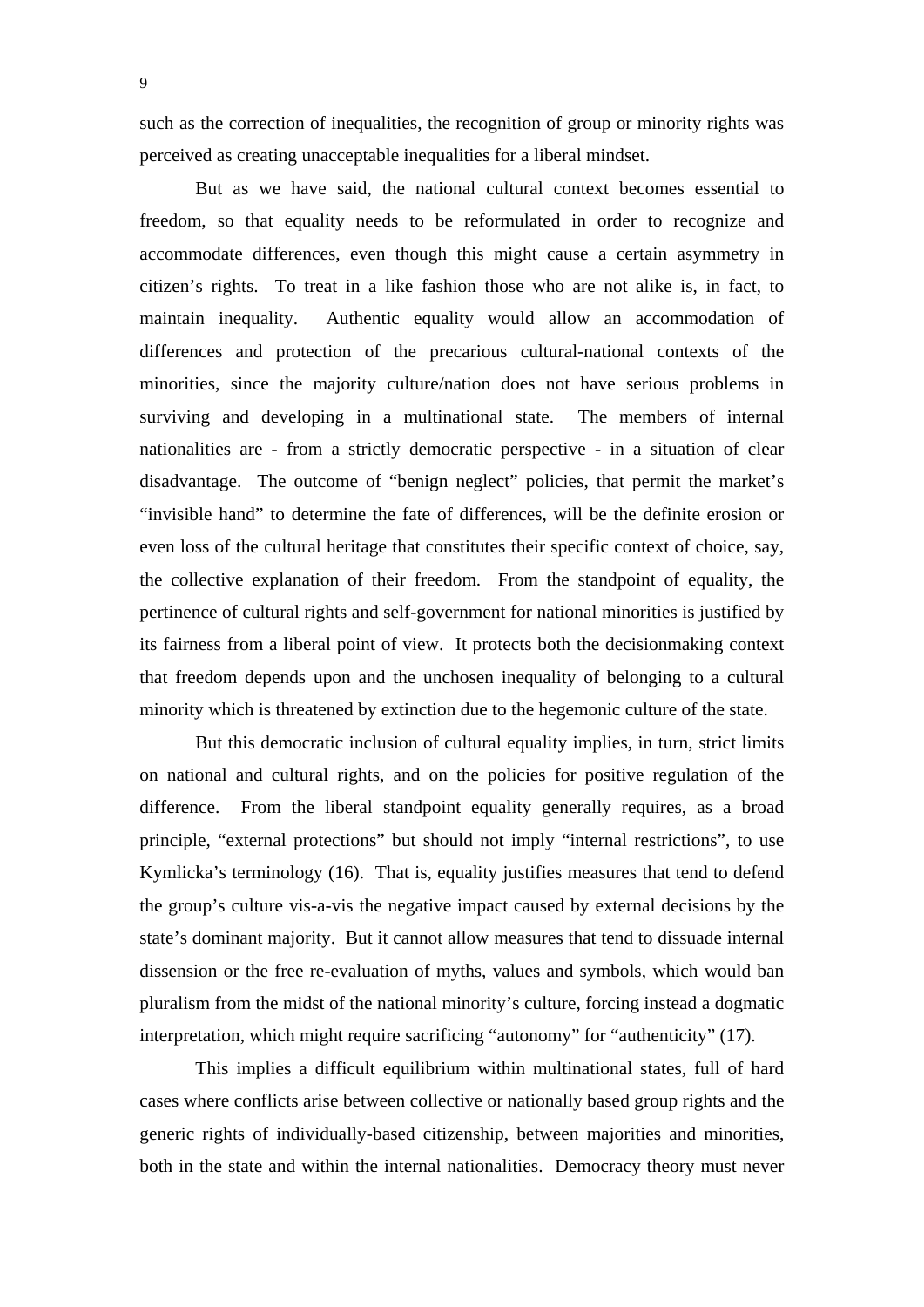such as the correction of inequalities, the recognition of group or minority rights was perceived as creating unacceptable inequalities for a liberal mindset.

 But as we have said, the national cultural context becomes essential to freedom, so that equality needs to be reformulated in order to recognize and accommodate differences, even though this might cause a certain asymmetry in citizen's rights. To treat in a like fashion those who are not alike is, in fact, to maintain inequality. Authentic equality would allow an accommodation of differences and protection of the precarious cultural-national contexts of the minorities, since the majority culture/nation does not have serious problems in surviving and developing in a multinational state. The members of internal nationalities are - from a strictly democratic perspective - in a situation of clear disadvantage. The outcome of "benign neglect" policies, that permit the market's "invisible hand" to determine the fate of differences, will be the definite erosion or even loss of the cultural heritage that constitutes their specific context of choice, say, the collective explanation of their freedom. From the standpoint of equality, the pertinence of cultural rights and self-government for national minorities is justified by its fairness from a liberal point of view. It protects both the decisionmaking context that freedom depends upon and the unchosen inequality of belonging to a cultural minority which is threatened by extinction due to the hegemonic culture of the state.

 But this democratic inclusion of cultural equality implies, in turn, strict limits on national and cultural rights, and on the policies for positive regulation of the difference. From the liberal standpoint equality generally requires, as a broad principle, "external protections" but should not imply "internal restrictions", to use Kymlicka's terminology (16). That is, equality justifies measures that tend to defend the group's culture vis-a-vis the negative impact caused by external decisions by the state's dominant majority. But it cannot allow measures that tend to dissuade internal dissension or the free re-evaluation of myths, values and symbols, which would ban pluralism from the midst of the national minority's culture, forcing instead a dogmatic interpretation, which might require sacrificing "autonomy" for "authenticity" (17).

 This implies a difficult equilibrium within multinational states, full of hard cases where conflicts arise between collective or nationally based group rights and the generic rights of individually-based citizenship, between majorities and minorities, both in the state and within the internal nationalities. Democracy theory must never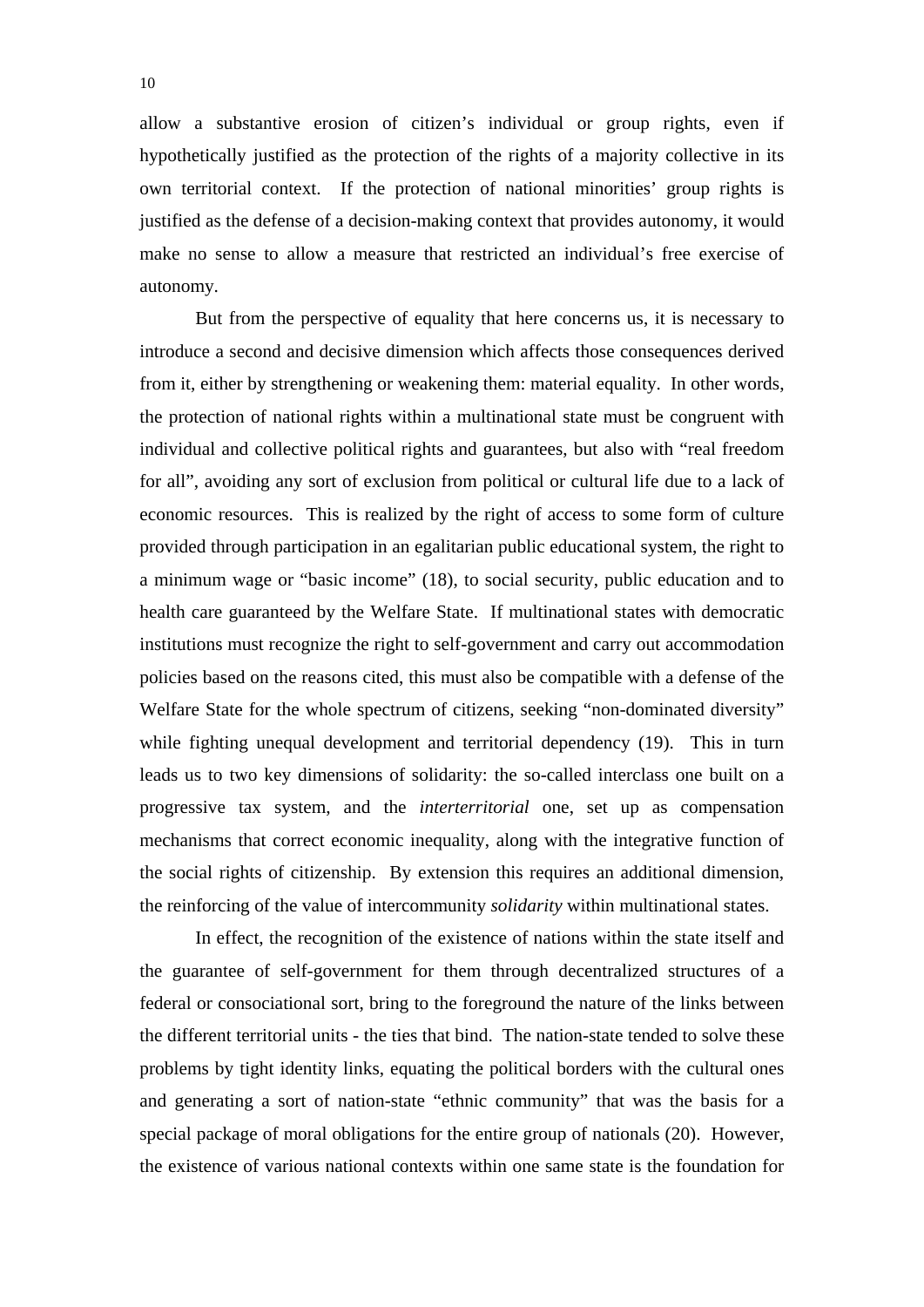allow a substantive erosion of citizen's individual or group rights, even if hypothetically justified as the protection of the rights of a majority collective in its own territorial context. If the protection of national minorities' group rights is justified as the defense of a decision-making context that provides autonomy, it would make no sense to allow a measure that restricted an individual's free exercise of autonomy.

 But from the perspective of equality that here concerns us, it is necessary to introduce a second and decisive dimension which affects those consequences derived from it, either by strengthening or weakening them: material equality. In other words, the protection of national rights within a multinational state must be congruent with individual and collective political rights and guarantees, but also with "real freedom for all", avoiding any sort of exclusion from political or cultural life due to a lack of economic resources. This is realized by the right of access to some form of culture provided through participation in an egalitarian public educational system, the right to a minimum wage or "basic income" (18), to social security, public education and to health care guaranteed by the Welfare State. If multinational states with democratic institutions must recognize the right to self-government and carry out accommodation policies based on the reasons cited, this must also be compatible with a defense of the Welfare State for the whole spectrum of citizens, seeking "non-dominated diversity" while fighting unequal development and territorial dependency (19). This in turn leads us to two key dimensions of solidarity: the so-called interclass one built on a progressive tax system, and the *interterritorial* one, set up as compensation mechanisms that correct economic inequality, along with the integrative function of the social rights of citizenship. By extension this requires an additional dimension, the reinforcing of the value of intercommunity *solidarity* within multinational states.

 In effect, the recognition of the existence of nations within the state itself and the guarantee of self-government for them through decentralized structures of a federal or consociational sort, bring to the foreground the nature of the links between the different territorial units - the ties that bind. The nation-state tended to solve these problems by tight identity links, equating the political borders with the cultural ones and generating a sort of nation-state "ethnic community" that was the basis for a special package of moral obligations for the entire group of nationals (20). However, the existence of various national contexts within one same state is the foundation for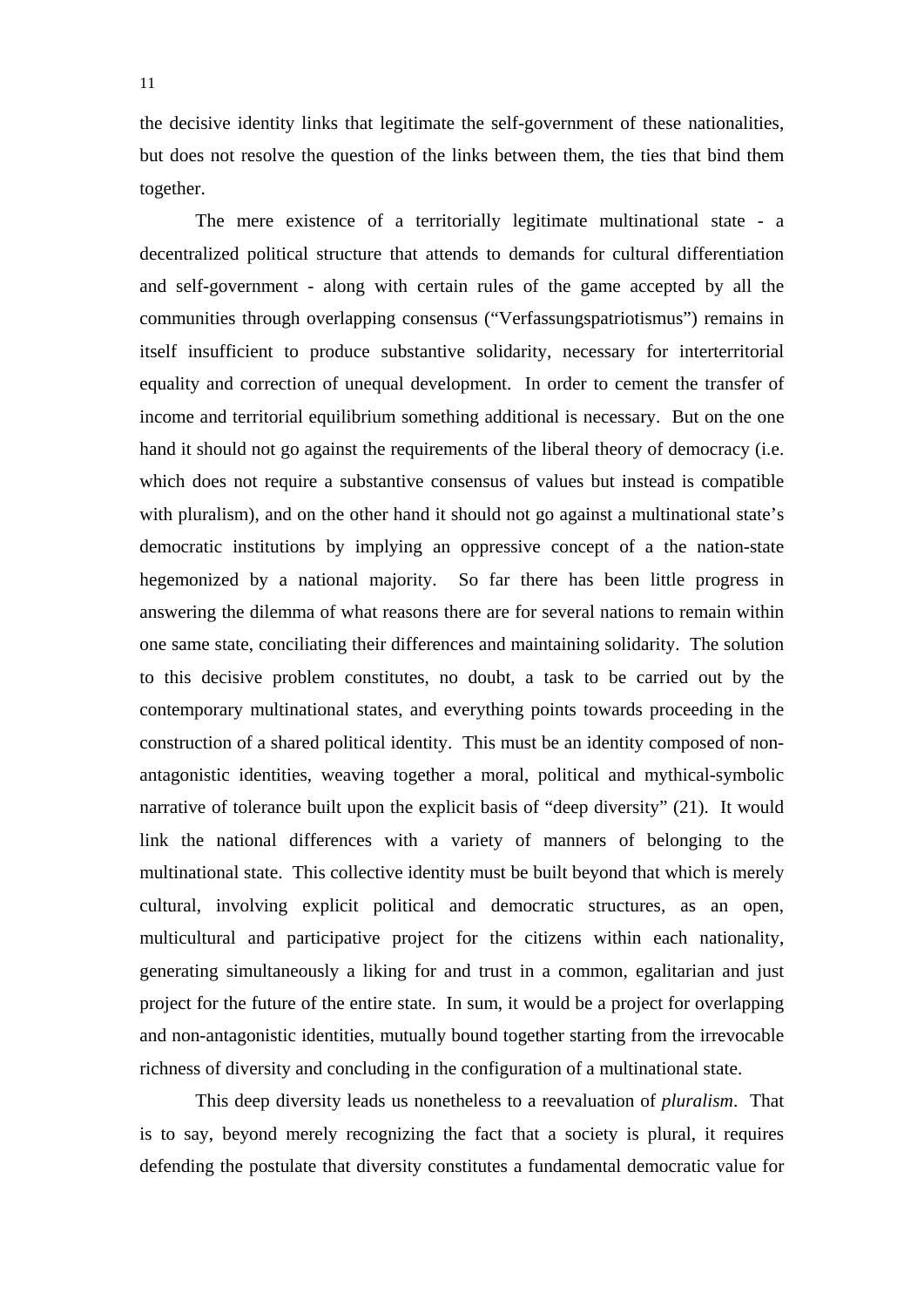the decisive identity links that legitimate the self-government of these nationalities, but does not resolve the question of the links between them, the ties that bind them together.

 The mere existence of a territorially legitimate multinational state - a decentralized political structure that attends to demands for cultural differentiation and self-government - along with certain rules of the game accepted by all the communities through overlapping consensus ("Verfassungspatriotismus") remains in itself insufficient to produce substantive solidarity, necessary for interterritorial equality and correction of unequal development. In order to cement the transfer of income and territorial equilibrium something additional is necessary. But on the one hand it should not go against the requirements of the liberal theory of democracy (i.e. which does not require a substantive consensus of values but instead is compatible with pluralism), and on the other hand it should not go against a multinational state's democratic institutions by implying an oppressive concept of a the nation-state hegemonized by a national majority. So far there has been little progress in answering the dilemma of what reasons there are for several nations to remain within one same state, conciliating their differences and maintaining solidarity. The solution to this decisive problem constitutes, no doubt, a task to be carried out by the contemporary multinational states, and everything points towards proceeding in the construction of a shared political identity. This must be an identity composed of nonantagonistic identities, weaving together a moral, political and mythical-symbolic narrative of tolerance built upon the explicit basis of "deep diversity" (21). It would link the national differences with a variety of manners of belonging to the multinational state. This collective identity must be built beyond that which is merely cultural, involving explicit political and democratic structures, as an open, multicultural and participative project for the citizens within each nationality, generating simultaneously a liking for and trust in a common, egalitarian and just project for the future of the entire state. In sum, it would be a project for overlapping and non-antagonistic identities, mutually bound together starting from the irrevocable richness of diversity and concluding in the configuration of a multinational state.

 This deep diversity leads us nonetheless to a reevaluation of *pluralism*. That is to say, beyond merely recognizing the fact that a society is plural, it requires defending the postulate that diversity constitutes a fundamental democratic value for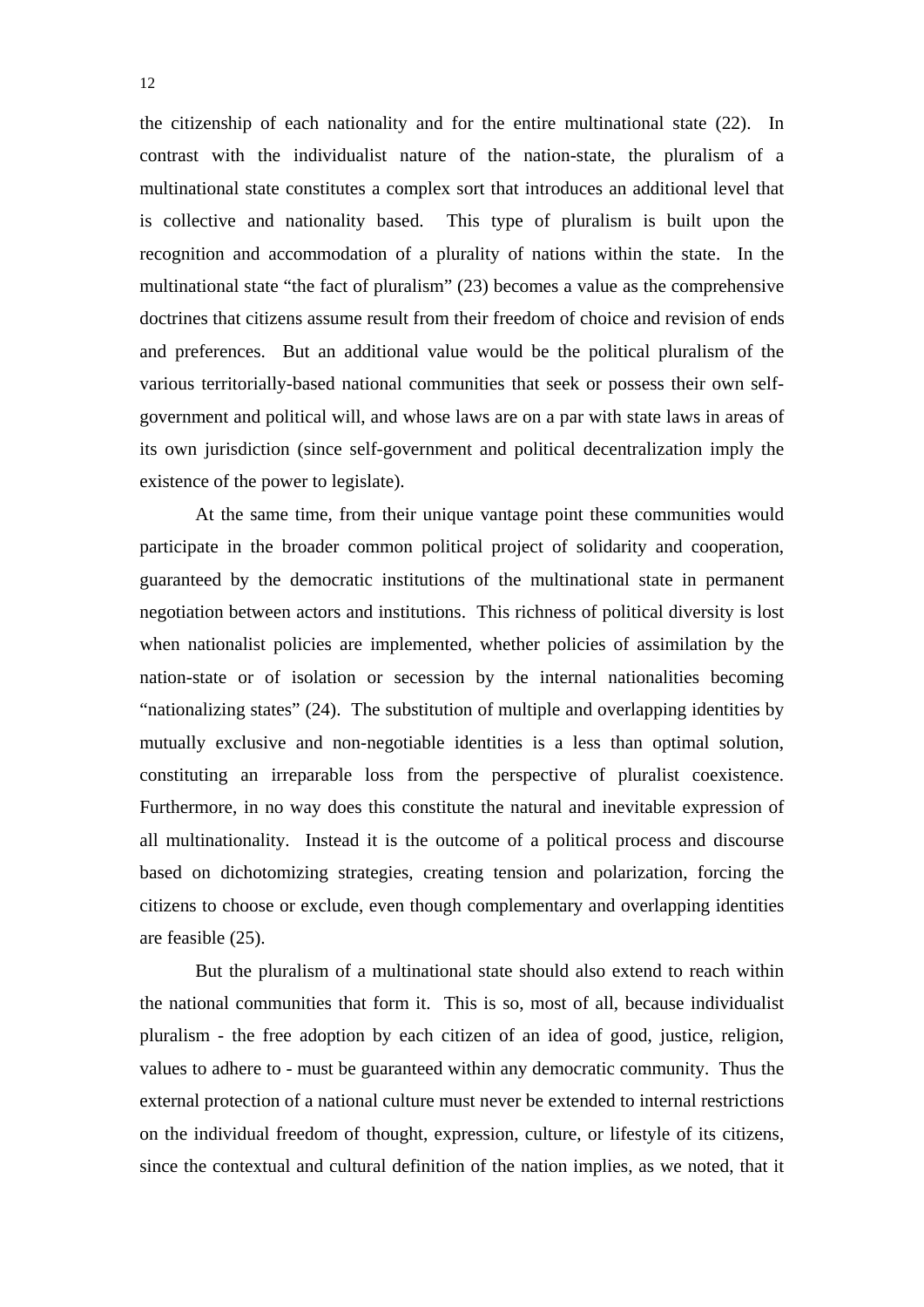the citizenship of each nationality and for the entire multinational state (22). In contrast with the individualist nature of the nation-state, the pluralism of a multinational state constitutes a complex sort that introduces an additional level that is collective and nationality based. This type of pluralism is built upon the recognition and accommodation of a plurality of nations within the state. In the multinational state "the fact of pluralism" (23) becomes a value as the comprehensive doctrines that citizens assume result from their freedom of choice and revision of ends and preferences. But an additional value would be the political pluralism of the various territorially-based national communities that seek or possess their own selfgovernment and political will, and whose laws are on a par with state laws in areas of its own jurisdiction (since self-government and political decentralization imply the existence of the power to legislate).

 At the same time, from their unique vantage point these communities would participate in the broader common political project of solidarity and cooperation, guaranteed by the democratic institutions of the multinational state in permanent negotiation between actors and institutions. This richness of political diversity is lost when nationalist policies are implemented, whether policies of assimilation by the nation-state or of isolation or secession by the internal nationalities becoming "nationalizing states" (24). The substitution of multiple and overlapping identities by mutually exclusive and non-negotiable identities is a less than optimal solution, constituting an irreparable loss from the perspective of pluralist coexistence. Furthermore, in no way does this constitute the natural and inevitable expression of all multinationality. Instead it is the outcome of a political process and discourse based on dichotomizing strategies, creating tension and polarization, forcing the citizens to choose or exclude, even though complementary and overlapping identities are feasible (25).

But the pluralism of a multinational state should also extend to reach within the national communities that form it. This is so, most of all, because individualist pluralism - the free adoption by each citizen of an idea of good, justice, religion, values to adhere to - must be guaranteed within any democratic community. Thus the external protection of a national culture must never be extended to internal restrictions on the individual freedom of thought, expression, culture, or lifestyle of its citizens, since the contextual and cultural definition of the nation implies, as we noted, that it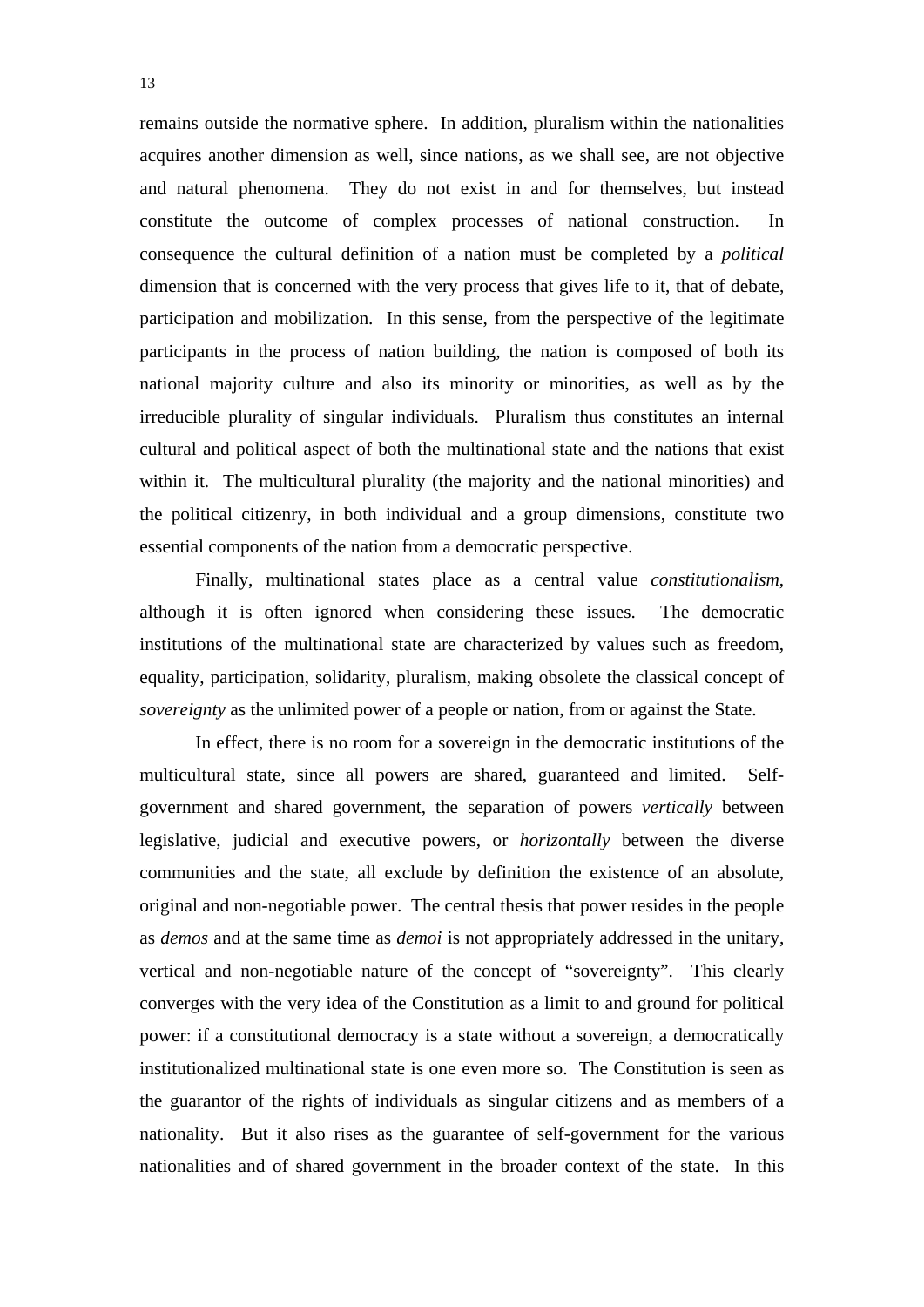remains outside the normative sphere. In addition, pluralism within the nationalities acquires another dimension as well, since nations, as we shall see, are not objective and natural phenomena. They do not exist in and for themselves, but instead constitute the outcome of complex processes of national construction. In consequence the cultural definition of a nation must be completed by a *political* dimension that is concerned with the very process that gives life to it, that of debate, participation and mobilization. In this sense, from the perspective of the legitimate participants in the process of nation building, the nation is composed of both its national majority culture and also its minority or minorities, as well as by the irreducible plurality of singular individuals. Pluralism thus constitutes an internal cultural and political aspect of both the multinational state and the nations that exist within it. The multicultural plurality (the majority and the national minorities) and the political citizenry, in both individual and a group dimensions, constitute two essential components of the nation from a democratic perspective.

Finally, multinational states place as a central value *constitutionalism*, although it is often ignored when considering these issues. The democratic institutions of the multinational state are characterized by values such as freedom, equality, participation, solidarity, pluralism, making obsolete the classical concept of *sovereignty* as the unlimited power of a people or nation, from or against the State.

In effect, there is no room for a sovereign in the democratic institutions of the multicultural state, since all powers are shared, guaranteed and limited. Selfgovernment and shared government, the separation of powers *vertically* between legislative, judicial and executive powers, or *horizontally* between the diverse communities and the state, all exclude by definition the existence of an absolute, original and non-negotiable power. The central thesis that power resides in the people as *demos* and at the same time as *demoi* is not appropriately addressed in the unitary, vertical and non-negotiable nature of the concept of "sovereignty". This clearly converges with the very idea of the Constitution as a limit to and ground for political power: if a constitutional democracy is a state without a sovereign, a democratically institutionalized multinational state is one even more so. The Constitution is seen as the guarantor of the rights of individuals as singular citizens and as members of a nationality. But it also rises as the guarantee of self-government for the various nationalities and of shared government in the broader context of the state. In this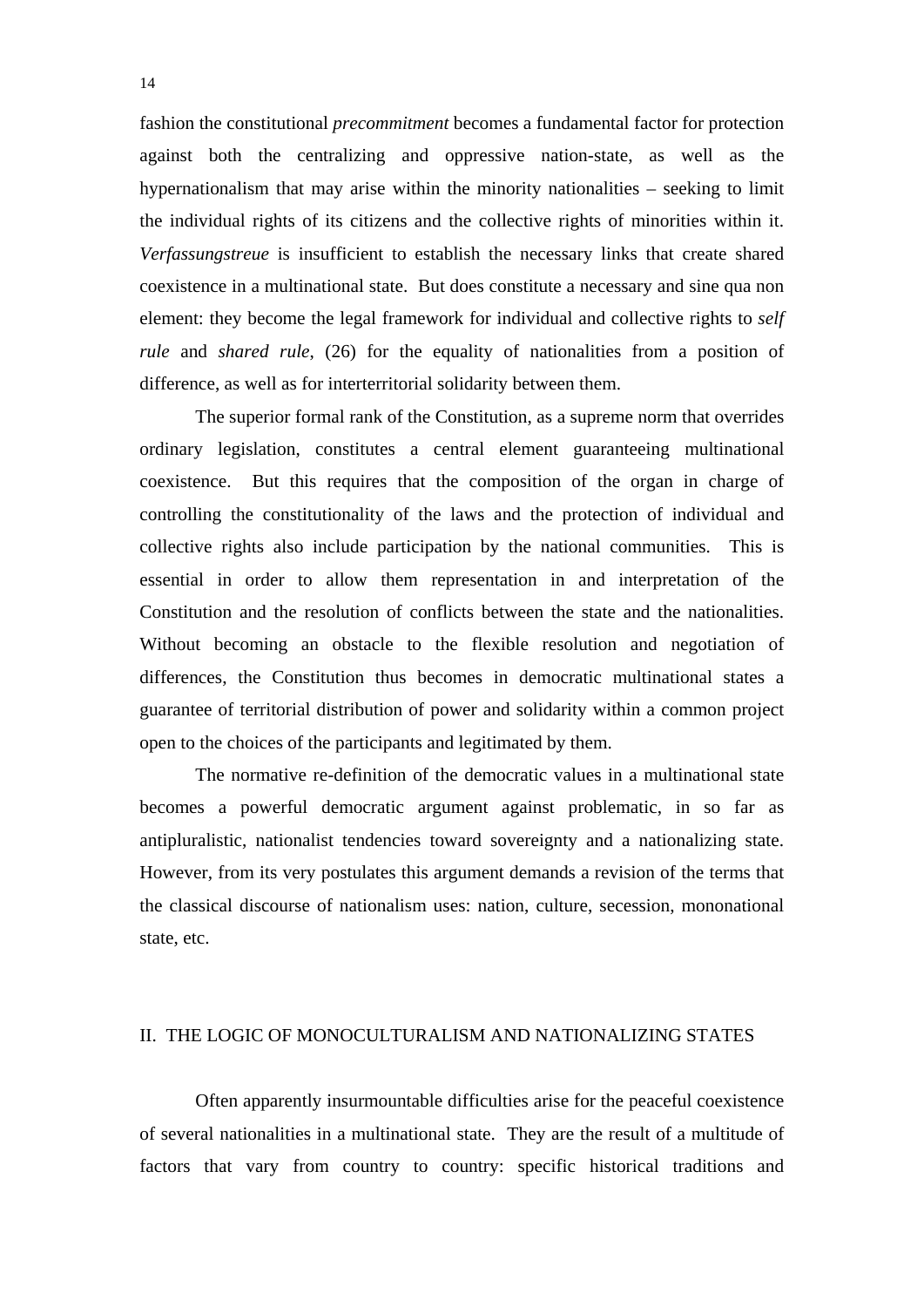fashion the constitutional *precommitment* becomes a fundamental factor for protection against both the centralizing and oppressive nation-state, as well as the hypernationalism that may arise within the minority nationalities – seeking to limit the individual rights of its citizens and the collective rights of minorities within it. *Verfassungstreue* is insufficient to establish the necessary links that create shared coexistence in a multinational state. But does constitute a necessary and sine qua non element: they become the legal framework for individual and collective rights to *self rule* and *shared rule*, (26) for the equality of nationalities from a position of difference, as well as for interterritorial solidarity between them.

The superior formal rank of the Constitution, as a supreme norm that overrides ordinary legislation, constitutes a central element guaranteeing multinational coexistence. But this requires that the composition of the organ in charge of controlling the constitutionality of the laws and the protection of individual and collective rights also include participation by the national communities. This is essential in order to allow them representation in and interpretation of the Constitution and the resolution of conflicts between the state and the nationalities. Without becoming an obstacle to the flexible resolution and negotiation of differences, the Constitution thus becomes in democratic multinational states a guarantee of territorial distribution of power and solidarity within a common project open to the choices of the participants and legitimated by them.

The normative re-definition of the democratic values in a multinational state becomes a powerful democratic argument against problematic, in so far as antipluralistic, nationalist tendencies toward sovereignty and a nationalizing state. However, from its very postulates this argument demands a revision of the terms that the classical discourse of nationalism uses: nation, culture, secession, mononational state, etc.

#### II. THE LOGIC OF MONOCULTURALISM AND NATIONALIZING STATES

 Often apparently insurmountable difficulties arise for the peaceful coexistence of several nationalities in a multinational state. They are the result of a multitude of factors that vary from country to country: specific historical traditions and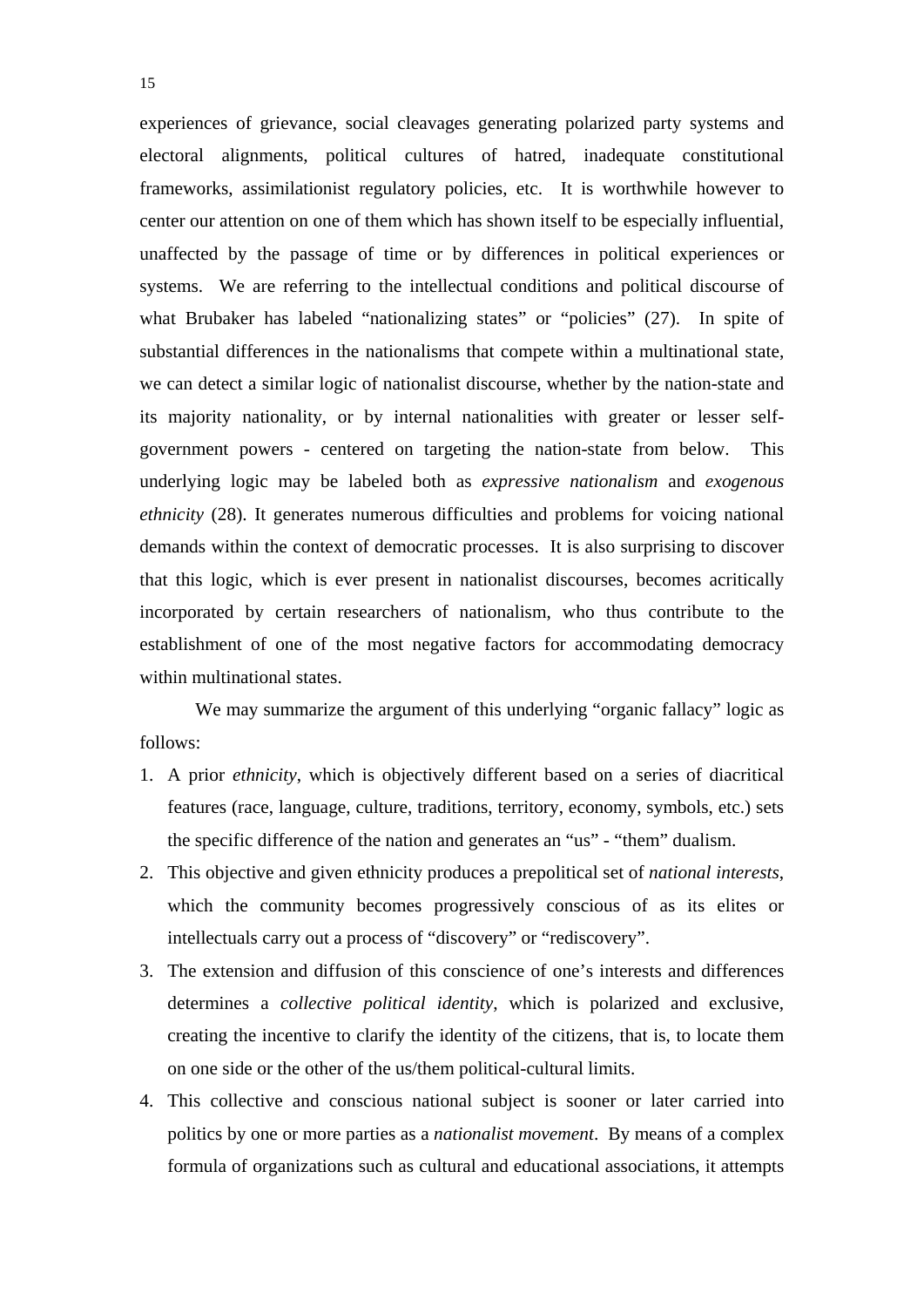experiences of grievance, social cleavages generating polarized party systems and electoral alignments, political cultures of hatred, inadequate constitutional frameworks, assimilationist regulatory policies, etc. It is worthwhile however to center our attention on one of them which has shown itself to be especially influential, unaffected by the passage of time or by differences in political experiences or systems. We are referring to the intellectual conditions and political discourse of what Brubaker has labeled "nationalizing states" or "policies" (27). In spite of substantial differences in the nationalisms that compete within a multinational state, we can detect a similar logic of nationalist discourse, whether by the nation-state and its majority nationality, or by internal nationalities with greater or lesser selfgovernment powers - centered on targeting the nation-state from below. This underlying logic may be labeled both as *expressive nationalism* and *exogenous ethnicity* (28). It generates numerous difficulties and problems for voicing national demands within the context of democratic processes. It is also surprising to discover that this logic, which is ever present in nationalist discourses, becomes acritically incorporated by certain researchers of nationalism, who thus contribute to the establishment of one of the most negative factors for accommodating democracy within multinational states.

We may summarize the argument of this underlying "organic fallacy" logic as follows:

- 1. A prior *ethnicity*, which is objectively different based on a series of diacritical features (race, language, culture, traditions, territory, economy, symbols, etc.) sets the specific difference of the nation and generates an "us" - "them" dualism.
- 2. This objective and given ethnicity produces a prepolitical set of *national interests*, which the community becomes progressively conscious of as its elites or intellectuals carry out a process of "discovery" or "rediscovery".
- 3. The extension and diffusion of this conscience of one's interests and differences determines a *collective political identity*, which is polarized and exclusive, creating the incentive to clarify the identity of the citizens, that is, to locate them on one side or the other of the us/them political-cultural limits.
- 4. This collective and conscious national subject is sooner or later carried into politics by one or more parties as a *nationalist movement*. By means of a complex formula of organizations such as cultural and educational associations, it attempts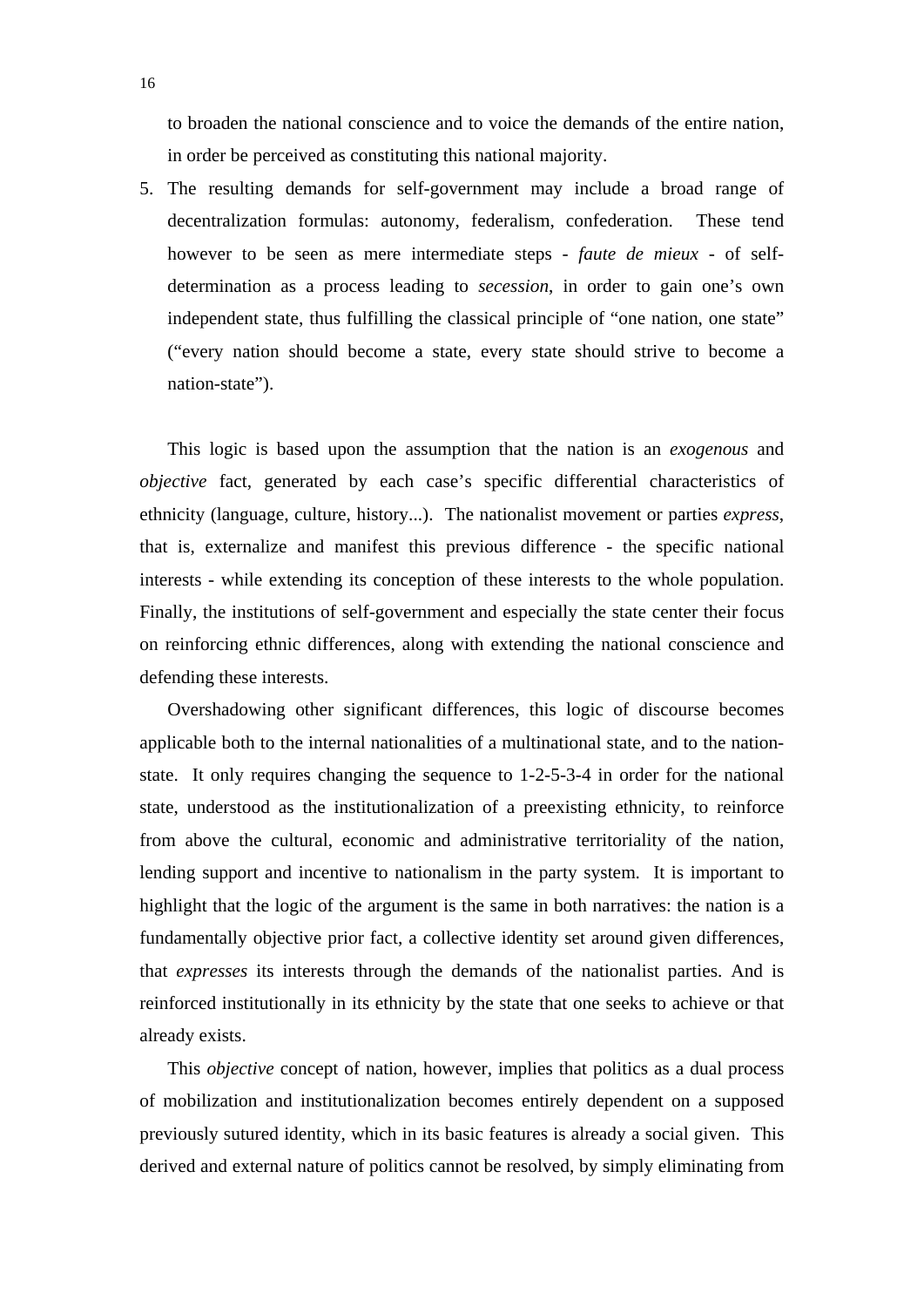to broaden the national conscience and to voice the demands of the entire nation, in order be perceived as constituting this national majority.

5. The resulting demands for self-government may include a broad range of decentralization formulas: autonomy, federalism, confederation. These tend however to be seen as mere intermediate steps - *faute de mieux* - of selfdetermination as a process leading to *secession*, in order to gain one's own independent state, thus fulfilling the classical principle of "one nation, one state" ("every nation should become a state, every state should strive to become a nation-state").

This logic is based upon the assumption that the nation is an *exogenous* and *objective* fact, generated by each case's specific differential characteristics of ethnicity (language, culture, history...). The nationalist movement or parties *express*, that is, externalize and manifest this previous difference - the specific national interests - while extending its conception of these interests to the whole population. Finally, the institutions of self-government and especially the state center their focus on reinforcing ethnic differences, along with extending the national conscience and defending these interests.

Overshadowing other significant differences, this logic of discourse becomes applicable both to the internal nationalities of a multinational state, and to the nationstate. It only requires changing the sequence to 1-2-5-3-4 in order for the national state, understood as the institutionalization of a preexisting ethnicity, to reinforce from above the cultural, economic and administrative territoriality of the nation, lending support and incentive to nationalism in the party system. It is important to highlight that the logic of the argument is the same in both narratives: the nation is a fundamentally objective prior fact, a collective identity set around given differences, that *expresses* its interests through the demands of the nationalist parties. And is reinforced institutionally in its ethnicity by the state that one seeks to achieve or that already exists.

This *objective* concept of nation, however, implies that politics as a dual process of mobilization and institutionalization becomes entirely dependent on a supposed previously sutured identity, which in its basic features is already a social given. This derived and external nature of politics cannot be resolved, by simply eliminating from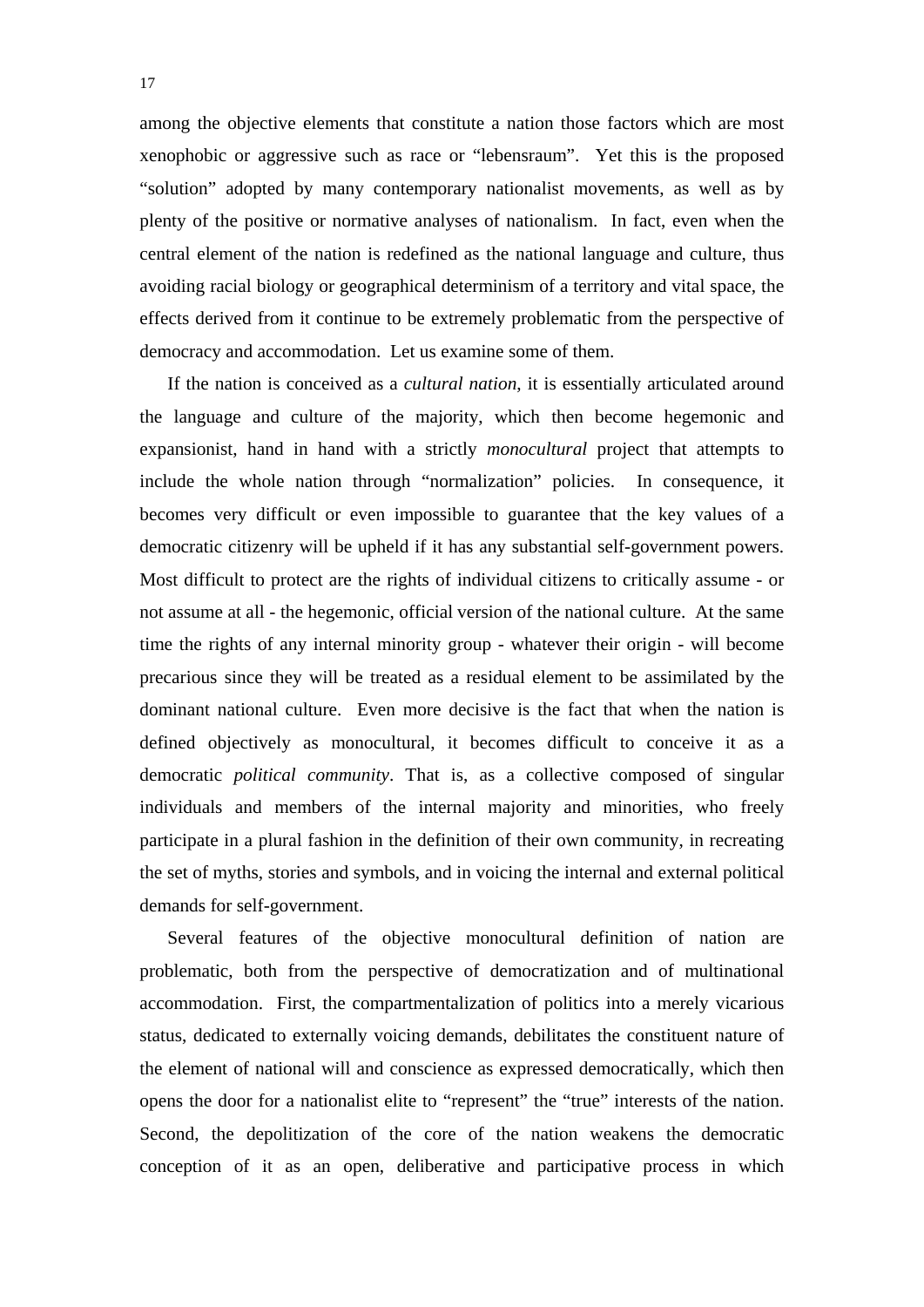among the objective elements that constitute a nation those factors which are most xenophobic or aggressive such as race or "lebensraum". Yet this is the proposed "solution" adopted by many contemporary nationalist movements, as well as by plenty of the positive or normative analyses of nationalism. In fact, even when the central element of the nation is redefined as the national language and culture, thus avoiding racial biology or geographical determinism of a territory and vital space, the effects derived from it continue to be extremely problematic from the perspective of democracy and accommodation. Let us examine some of them.

If the nation is conceived as a *cultural nation*, it is essentially articulated around the language and culture of the majority, which then become hegemonic and expansionist, hand in hand with a strictly *monocultural* project that attempts to include the whole nation through "normalization" policies. In consequence, it becomes very difficult or even impossible to guarantee that the key values of a democratic citizenry will be upheld if it has any substantial self-government powers. Most difficult to protect are the rights of individual citizens to critically assume - or not assume at all - the hegemonic, official version of the national culture. At the same time the rights of any internal minority group - whatever their origin - will become precarious since they will be treated as a residual element to be assimilated by the dominant national culture. Even more decisive is the fact that when the nation is defined objectively as monocultural, it becomes difficult to conceive it as a democratic *political community*. That is, as a collective composed of singular individuals and members of the internal majority and minorities, who freely participate in a plural fashion in the definition of their own community, in recreating the set of myths, stories and symbols, and in voicing the internal and external political demands for self-government.

Several features of the objective monocultural definition of nation are problematic, both from the perspective of democratization and of multinational accommodation. First, the compartmentalization of politics into a merely vicarious status, dedicated to externally voicing demands, debilitates the constituent nature of the element of national will and conscience as expressed democratically, which then opens the door for a nationalist elite to "represent" the "true" interests of the nation. Second, the depolitization of the core of the nation weakens the democratic conception of it as an open, deliberative and participative process in which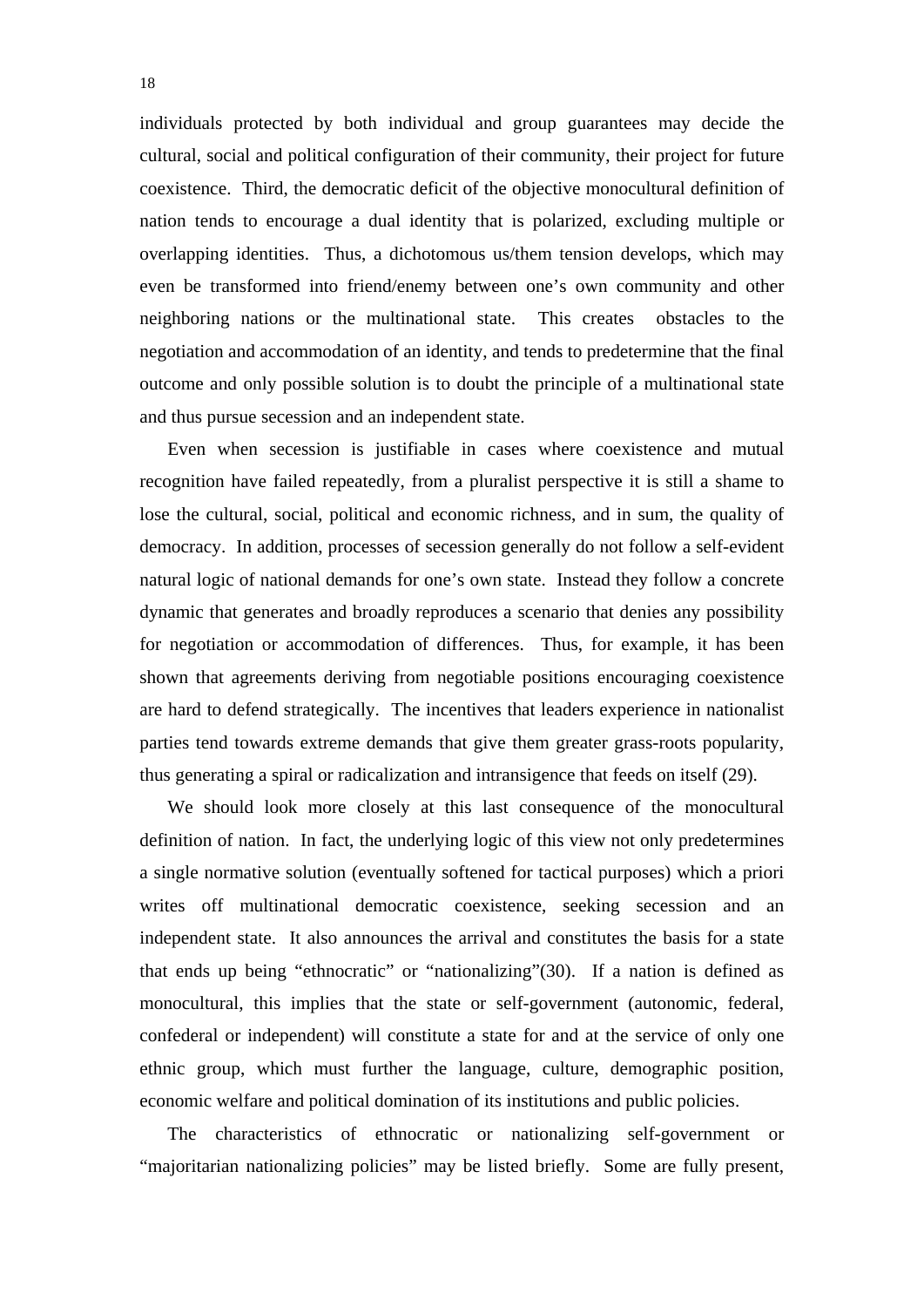individuals protected by both individual and group guarantees may decide the cultural, social and political configuration of their community, their project for future coexistence. Third, the democratic deficit of the objective monocultural definition of nation tends to encourage a dual identity that is polarized, excluding multiple or overlapping identities. Thus, a dichotomous us/them tension develops, which may even be transformed into friend/enemy between one's own community and other neighboring nations or the multinational state. This creates obstacles to the negotiation and accommodation of an identity, and tends to predetermine that the final outcome and only possible solution is to doubt the principle of a multinational state and thus pursue secession and an independent state.

Even when secession is justifiable in cases where coexistence and mutual recognition have failed repeatedly, from a pluralist perspective it is still a shame to lose the cultural, social, political and economic richness, and in sum, the quality of democracy. In addition, processes of secession generally do not follow a self-evident natural logic of national demands for one's own state. Instead they follow a concrete dynamic that generates and broadly reproduces a scenario that denies any possibility for negotiation or accommodation of differences. Thus, for example, it has been shown that agreements deriving from negotiable positions encouraging coexistence are hard to defend strategically. The incentives that leaders experience in nationalist parties tend towards extreme demands that give them greater grass-roots popularity, thus generating a spiral or radicalization and intransigence that feeds on itself (29).

We should look more closely at this last consequence of the monocultural definition of nation. In fact, the underlying logic of this view not only predetermines a single normative solution (eventually softened for tactical purposes) which a priori writes off multinational democratic coexistence, seeking secession and an independent state. It also announces the arrival and constitutes the basis for a state that ends up being "ethnocratic" or "nationalizing"(30). If a nation is defined as monocultural, this implies that the state or self-government (autonomic, federal, confederal or independent) will constitute a state for and at the service of only one ethnic group, which must further the language, culture, demographic position, economic welfare and political domination of its institutions and public policies.

The characteristics of ethnocratic or nationalizing self-government or "majoritarian nationalizing policies" may be listed briefly. Some are fully present,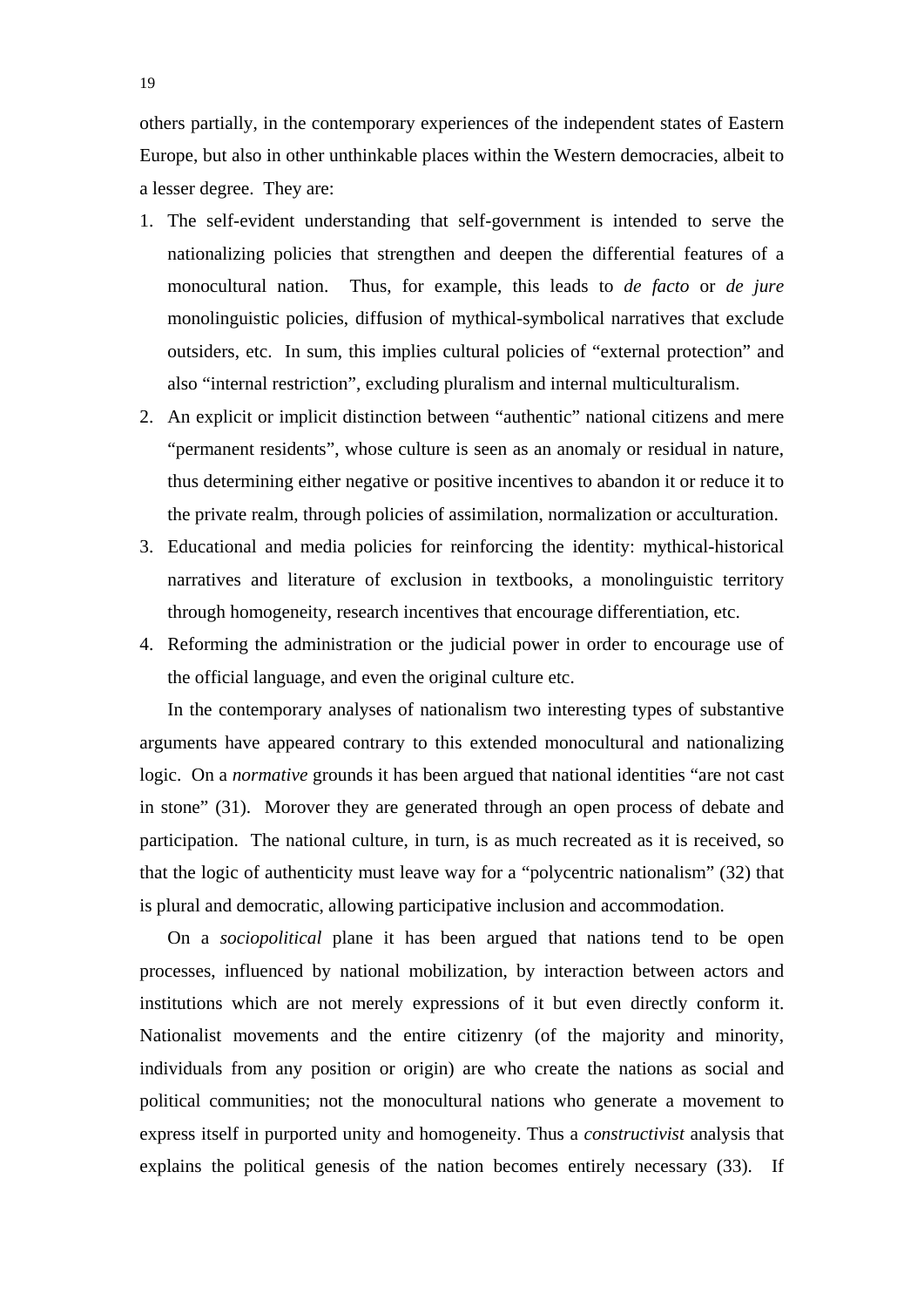- 1. The self-evident understanding that self-government is intended to serve the nationalizing policies that strengthen and deepen the differential features of a monocultural nation. Thus, for example, this leads to *de facto* or *de jure* monolinguistic policies, diffusion of mythical-symbolical narratives that exclude outsiders, etc. In sum, this implies cultural policies of "external protection" and also "internal restriction", excluding pluralism and internal multiculturalism.
- 2. An explicit or implicit distinction between "authentic" national citizens and mere "permanent residents", whose culture is seen as an anomaly or residual in nature, thus determining either negative or positive incentives to abandon it or reduce it to the private realm, through policies of assimilation, normalization or acculturation.
- 3. Educational and media policies for reinforcing the identity: mythical-historical narratives and literature of exclusion in textbooks, a monolinguistic territory through homogeneity, research incentives that encourage differentiation, etc.
- 4. Reforming the administration or the judicial power in order to encourage use of the official language, and even the original culture etc.

In the contemporary analyses of nationalism two interesting types of substantive arguments have appeared contrary to this extended monocultural and nationalizing logic. On a *normative* grounds it has been argued that national identities "are not cast in stone" (31). Morover they are generated through an open process of debate and participation. The national culture, in turn, is as much recreated as it is received, so that the logic of authenticity must leave way for a "polycentric nationalism" (32) that is plural and democratic, allowing participative inclusion and accommodation.

On a *sociopolitical* plane it has been argued that nations tend to be open processes, influenced by national mobilization, by interaction between actors and institutions which are not merely expressions of it but even directly conform it. Nationalist movements and the entire citizenry (of the majority and minority, individuals from any position or origin) are who create the nations as social and political communities; not the monocultural nations who generate a movement to express itself in purported unity and homogeneity. Thus a *constructivist* analysis that explains the political genesis of the nation becomes entirely necessary (33). If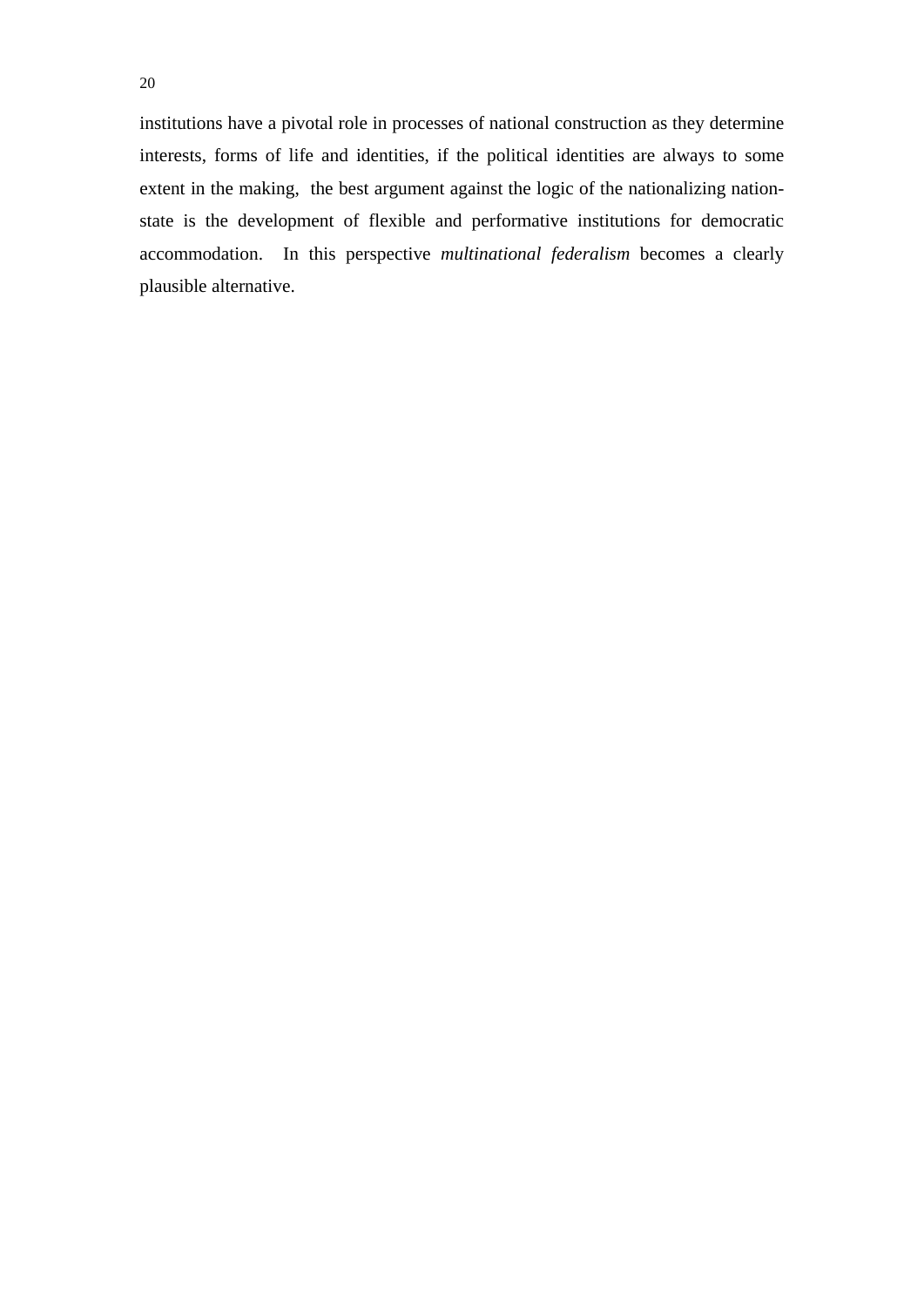institutions have a pivotal role in processes of national construction as they determine interests, forms of life and identities, if the political identities are always to some extent in the making, the best argument against the logic of the nationalizing nationstate is the development of flexible and performative institutions for democratic accommodation. In this perspective *multinational federalism* becomes a clearly plausible alternative.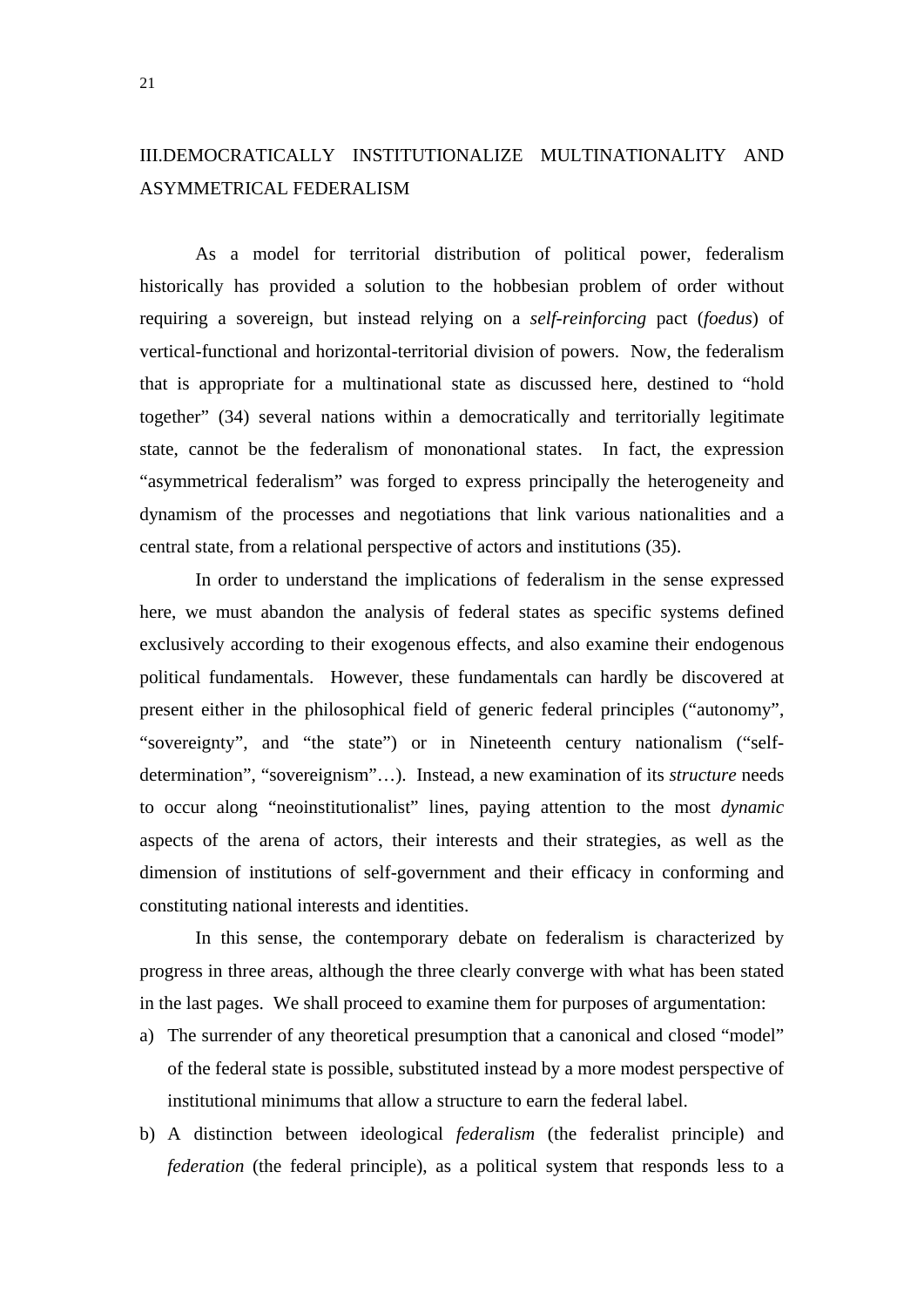### III.DEMOCRATICALLY INSTITUTIONALIZE MULTINATIONALITY AND ASYMMETRICAL FEDERALISM

 As a model for territorial distribution of political power, federalism historically has provided a solution to the hobbesian problem of order without requiring a sovereign, but instead relying on a *self-reinforcing* pact (*foedus*) of vertical-functional and horizontal-territorial division of powers. Now, the federalism that is appropriate for a multinational state as discussed here, destined to "hold together" (34) several nations within a democratically and territorially legitimate state, cannot be the federalism of mononational states. In fact, the expression "asymmetrical federalism" was forged to express principally the heterogeneity and dynamism of the processes and negotiations that link various nationalities and a central state, from a relational perspective of actors and institutions (35).

 In order to understand the implications of federalism in the sense expressed here, we must abandon the analysis of federal states as specific systems defined exclusively according to their exogenous effects, and also examine their endogenous political fundamentals. However, these fundamentals can hardly be discovered at present either in the philosophical field of generic federal principles ("autonomy", "sovereignty", and "the state") or in Nineteenth century nationalism ("selfdetermination", "sovereignism"…). Instead, a new examination of its *structure* needs to occur along "neoinstitutionalist" lines, paying attention to the most *dynamic* aspects of the arena of actors, their interests and their strategies, as well as the dimension of institutions of self-government and their efficacy in conforming and constituting national interests and identities.

 In this sense, the contemporary debate on federalism is characterized by progress in three areas, although the three clearly converge with what has been stated in the last pages. We shall proceed to examine them for purposes of argumentation:

- a) The surrender of any theoretical presumption that a canonical and closed "model" of the federal state is possible, substituted instead by a more modest perspective of institutional minimums that allow a structure to earn the federal label.
- b) A distinction between ideological *federalism* (the federalist principle) and *federation* (the federal principle), as a political system that responds less to a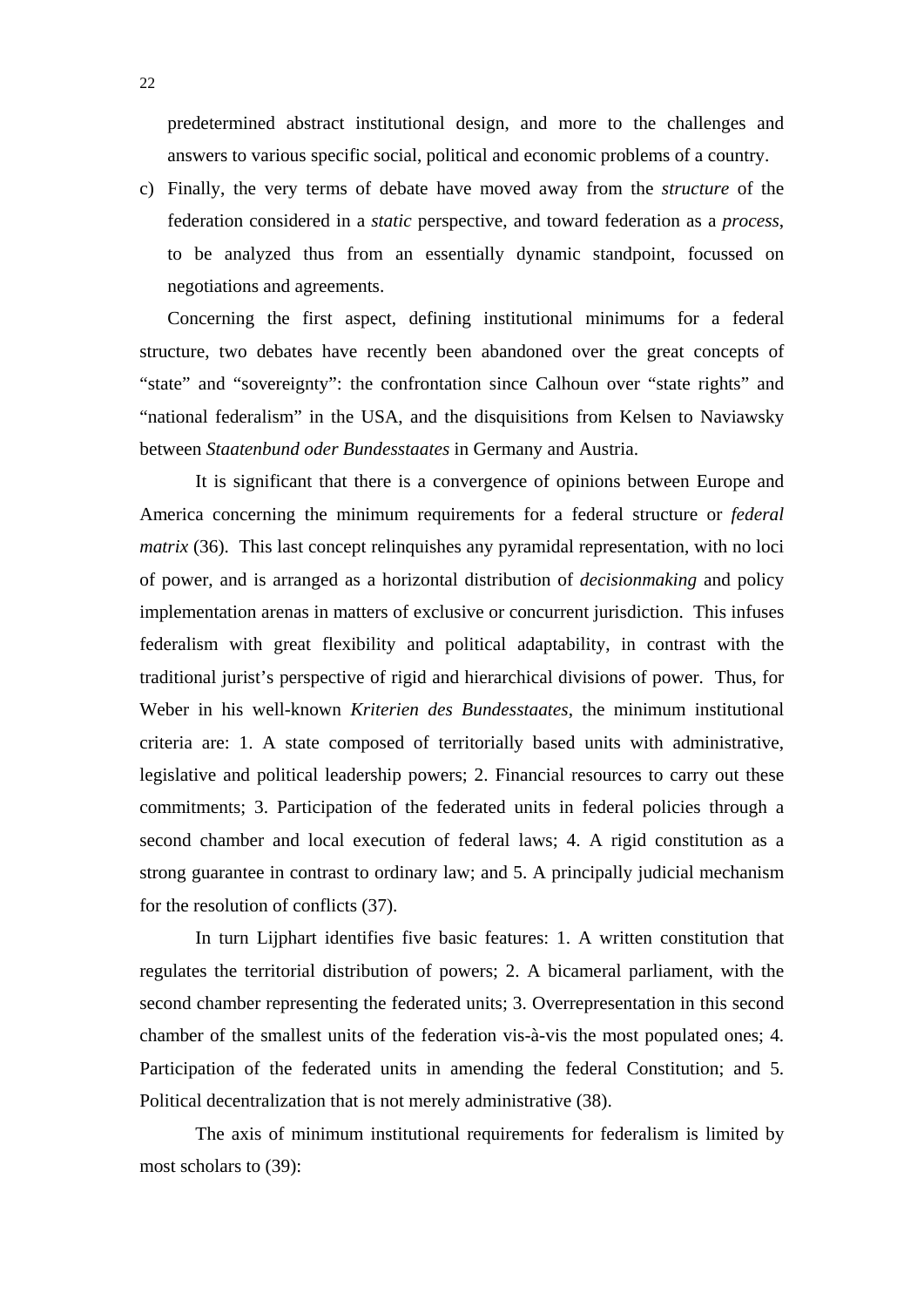predetermined abstract institutional design, and more to the challenges and answers to various specific social, political and economic problems of a country.

c) Finally, the very terms of debate have moved away from the *structure* of the federation considered in a *static* perspective, and toward federation as a *process*, to be analyzed thus from an essentially dynamic standpoint, focussed on negotiations and agreements.

Concerning the first aspect, defining institutional minimums for a federal structure, two debates have recently been abandoned over the great concepts of "state" and "sovereignty": the confrontation since Calhoun over "state rights" and "national federalism" in the USA, and the disquisitions from Kelsen to Naviawsky between *Staatenbund oder Bundesstaates* in Germany and Austria.

 It is significant that there is a convergence of opinions between Europe and America concerning the minimum requirements for a federal structure or *federal matrix* (36). This last concept relinquishes any pyramidal representation, with no loci of power, and is arranged as a horizontal distribution of *decisionmaking* and policy implementation arenas in matters of exclusive or concurrent jurisdiction. This infuses federalism with great flexibility and political adaptability, in contrast with the traditional jurist's perspective of rigid and hierarchical divisions of power. Thus, for Weber in his well-known *Kriterien des Bundesstaates*, the minimum institutional criteria are: 1. A state composed of territorially based units with administrative, legislative and political leadership powers; 2. Financial resources to carry out these commitments; 3. Participation of the federated units in federal policies through a second chamber and local execution of federal laws; 4. A rigid constitution as a strong guarantee in contrast to ordinary law; and 5. A principally judicial mechanism for the resolution of conflicts (37).

 In turn Lijphart identifies five basic features: 1. A written constitution that regulates the territorial distribution of powers; 2. A bicameral parliament, with the second chamber representing the federated units; 3. Overrepresentation in this second chamber of the smallest units of the federation vis-à-vis the most populated ones; 4. Participation of the federated units in amending the federal Constitution; and 5. Political decentralization that is not merely administrative (38).

 The axis of minimum institutional requirements for federalism is limited by most scholars to (39):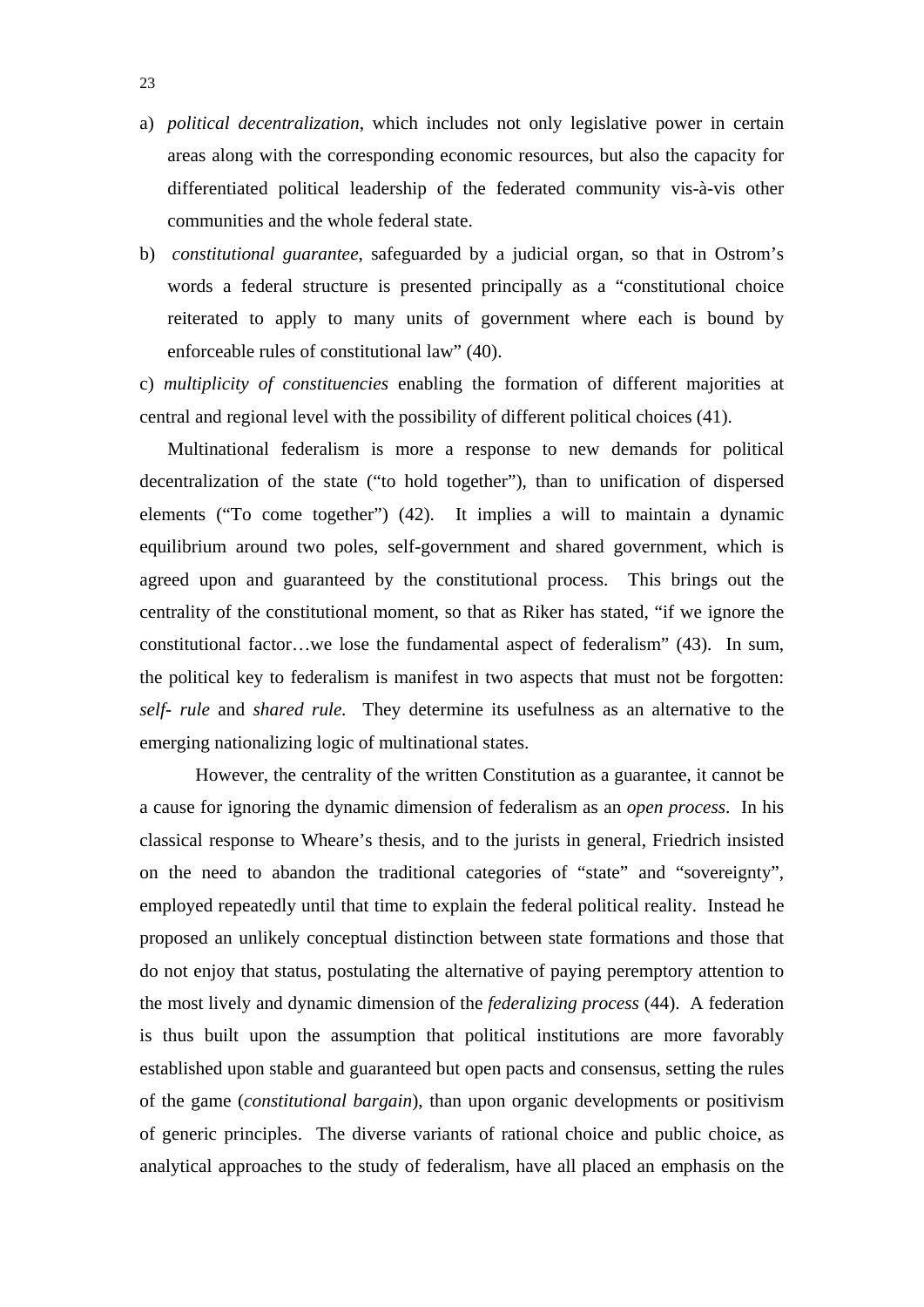- a) *political decentralization*, which includes not only legislative power in certain areas along with the corresponding economic resources, but also the capacity for differentiated political leadership of the federated community vis-à-vis other communities and the whole federal state.
- b) *constitutional guarantee*, safeguarded by a judicial organ, so that in Ostrom's words a federal structure is presented principally as a "constitutional choice reiterated to apply to many units of government where each is bound by enforceable rules of constitutional law" (40).

c) *multiplicity of constituencies* enabling the formation of different majorities at central and regional level with the possibility of different political choices (41).

Multinational federalism is more a response to new demands for political decentralization of the state ("to hold together"), than to unification of dispersed elements ("To come together") (42). It implies a will to maintain a dynamic equilibrium around two poles, self-government and shared government, which is agreed upon and guaranteed by the constitutional process. This brings out the centrality of the constitutional moment, so that as Riker has stated, "if we ignore the constitutional factor…we lose the fundamental aspect of federalism" (43). In sum, the political key to federalism is manifest in two aspects that must not be forgotten: *self- rule* and *shared rule.* They determine its usefulness as an alternative to the emerging nationalizing logic of multinational states.

 However, the centrality of the written Constitution as a guarantee, it cannot be a cause for ignoring the dynamic dimension of federalism as an *open process*. In his classical response to Wheare's thesis, and to the jurists in general, Friedrich insisted on the need to abandon the traditional categories of "state" and "sovereignty", employed repeatedly until that time to explain the federal political reality. Instead he proposed an unlikely conceptual distinction between state formations and those that do not enjoy that status, postulating the alternative of paying peremptory attention to the most lively and dynamic dimension of the *federalizing process* (44). A federation is thus built upon the assumption that political institutions are more favorably established upon stable and guaranteed but open pacts and consensus, setting the rules of the game (*constitutional bargain*), than upon organic developments or positivism of generic principles. The diverse variants of rational choice and public choice, as analytical approaches to the study of federalism, have all placed an emphasis on the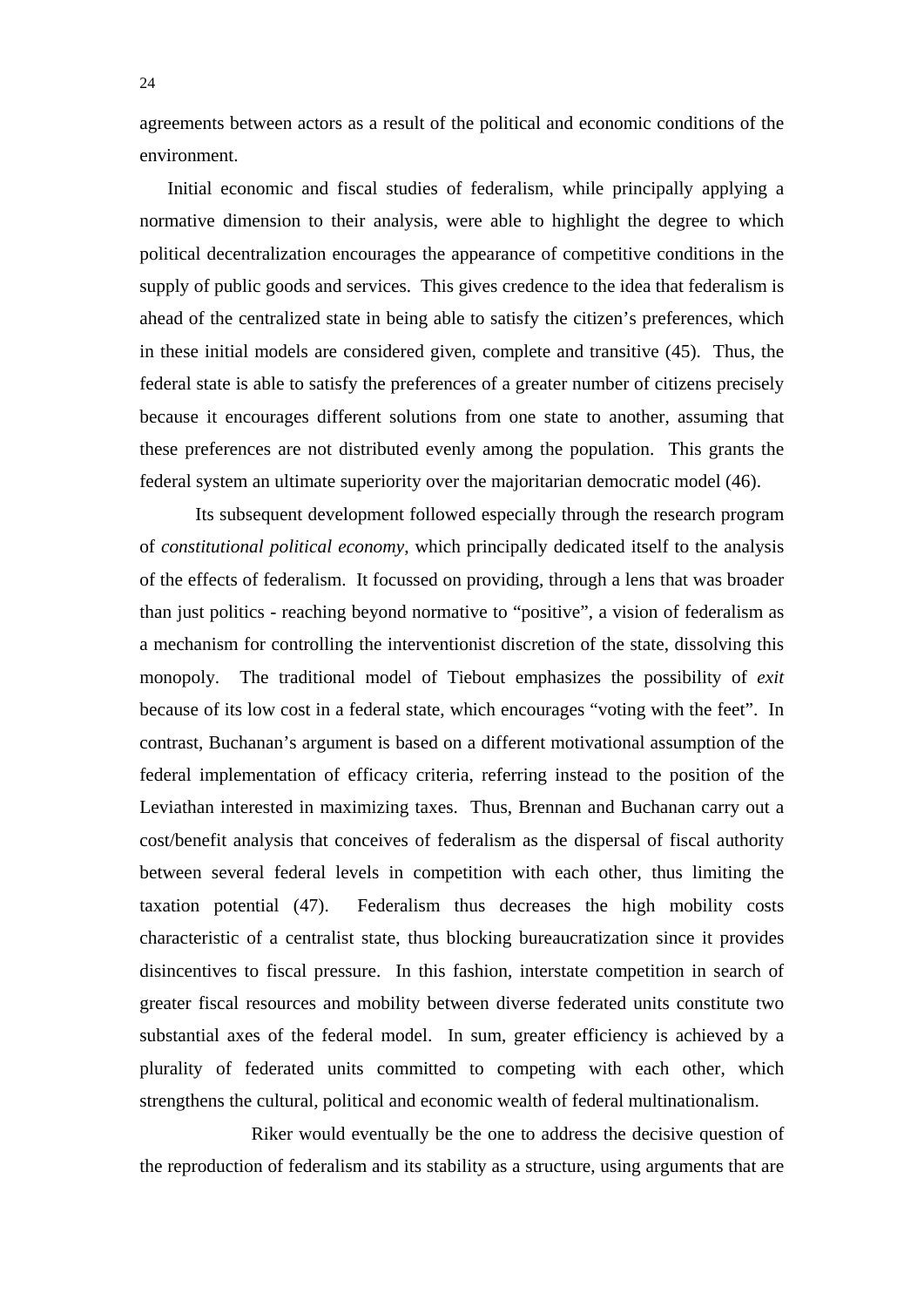agreements between actors as a result of the political and economic conditions of the environment.

Initial economic and fiscal studies of federalism, while principally applying a normative dimension to their analysis, were able to highlight the degree to which political decentralization encourages the appearance of competitive conditions in the supply of public goods and services. This gives credence to the idea that federalism is ahead of the centralized state in being able to satisfy the citizen's preferences, which in these initial models are considered given, complete and transitive (45). Thus, the federal state is able to satisfy the preferences of a greater number of citizens precisely because it encourages different solutions from one state to another, assuming that these preferences are not distributed evenly among the population. This grants the federal system an ultimate superiority over the majoritarian democratic model (46).

 Its subsequent development followed especially through the research program of *constitutional political economy*, which principally dedicated itself to the analysis of the effects of federalism. It focussed on providing, through a lens that was broader than just politics - reaching beyond normative to "positive", a vision of federalism as a mechanism for controlling the interventionist discretion of the state, dissolving this monopoly. The traditional model of Tiebout emphasizes the possibility of *exit* because of its low cost in a federal state, which encourages "voting with the feet". In contrast, Buchanan's argument is based on a different motivational assumption of the federal implementation of efficacy criteria, referring instead to the position of the Leviathan interested in maximizing taxes. Thus, Brennan and Buchanan carry out a cost/benefit analysis that conceives of federalism as the dispersal of fiscal authority between several federal levels in competition with each other, thus limiting the taxation potential (47). Federalism thus decreases the high mobility costs characteristic of a centralist state, thus blocking bureaucratization since it provides disincentives to fiscal pressure. In this fashion, interstate competition in search of greater fiscal resources and mobility between diverse federated units constitute two substantial axes of the federal model. In sum, greater efficiency is achieved by a plurality of federated units committed to competing with each other, which strengthens the cultural, political and economic wealth of federal multinationalism.

 Riker would eventually be the one to address the decisive question of the reproduction of federalism and its stability as a structure, using arguments that are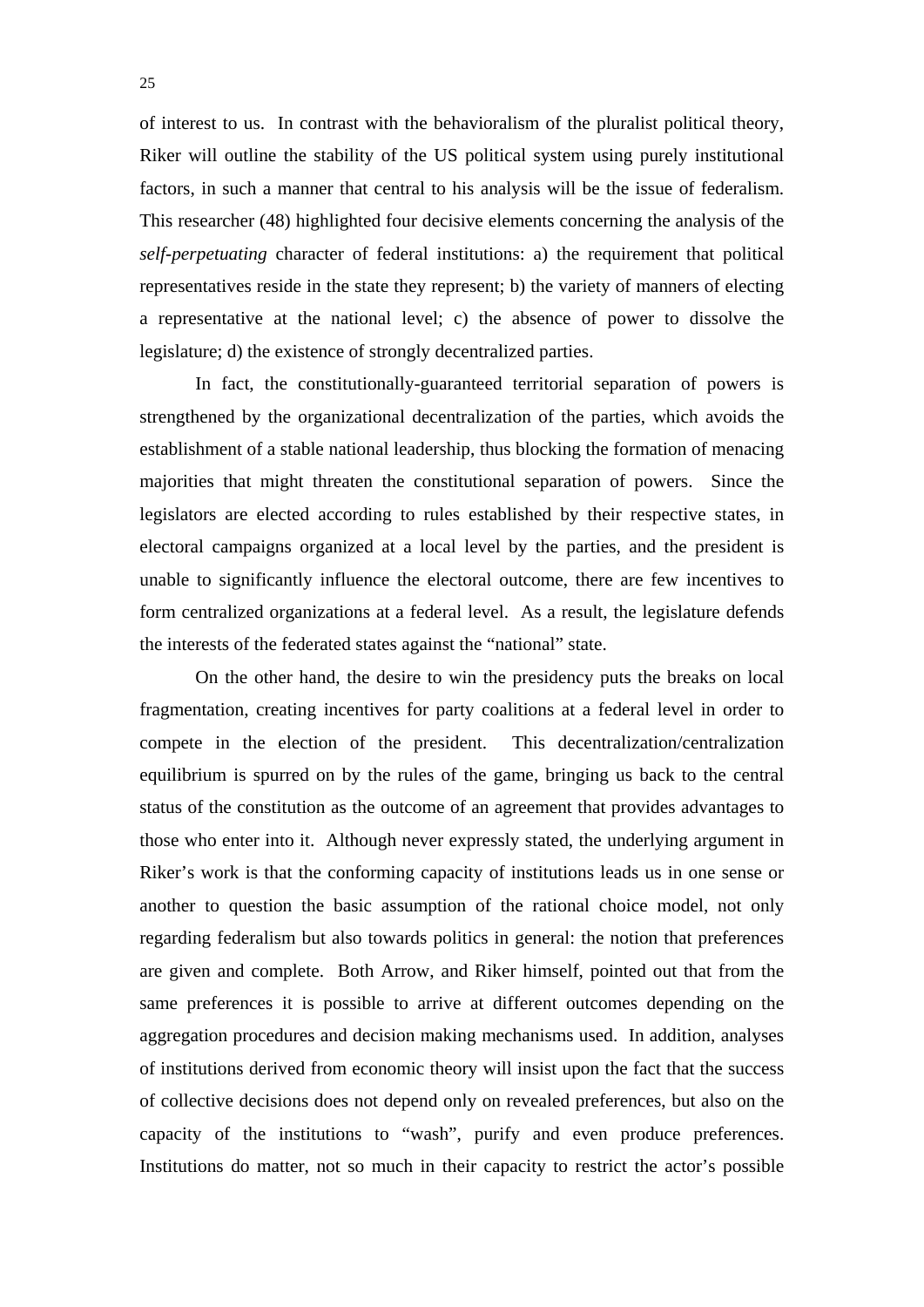of interest to us. In contrast with the behavioralism of the pluralist political theory, Riker will outline the stability of the US political system using purely institutional factors, in such a manner that central to his analysis will be the issue of federalism. This researcher (48) highlighted four decisive elements concerning the analysis of the *self-perpetuating* character of federal institutions: a) the requirement that political representatives reside in the state they represent; b) the variety of manners of electing a representative at the national level; c) the absence of power to dissolve the legislature; d) the existence of strongly decentralized parties.

 In fact, the constitutionally-guaranteed territorial separation of powers is strengthened by the organizational decentralization of the parties, which avoids the establishment of a stable national leadership, thus blocking the formation of menacing majorities that might threaten the constitutional separation of powers. Since the legislators are elected according to rules established by their respective states, in electoral campaigns organized at a local level by the parties, and the president is unable to significantly influence the electoral outcome, there are few incentives to form centralized organizations at a federal level. As a result, the legislature defends the interests of the federated states against the "national" state.

 On the other hand, the desire to win the presidency puts the breaks on local fragmentation, creating incentives for party coalitions at a federal level in order to compete in the election of the president. This decentralization/centralization equilibrium is spurred on by the rules of the game, bringing us back to the central status of the constitution as the outcome of an agreement that provides advantages to those who enter into it. Although never expressly stated, the underlying argument in Riker's work is that the conforming capacity of institutions leads us in one sense or another to question the basic assumption of the rational choice model, not only regarding federalism but also towards politics in general: the notion that preferences are given and complete. Both Arrow, and Riker himself, pointed out that from the same preferences it is possible to arrive at different outcomes depending on the aggregation procedures and decision making mechanisms used. In addition, analyses of institutions derived from economic theory will insist upon the fact that the success of collective decisions does not depend only on revealed preferences, but also on the capacity of the institutions to "wash", purify and even produce preferences. Institutions do matter, not so much in their capacity to restrict the actor's possible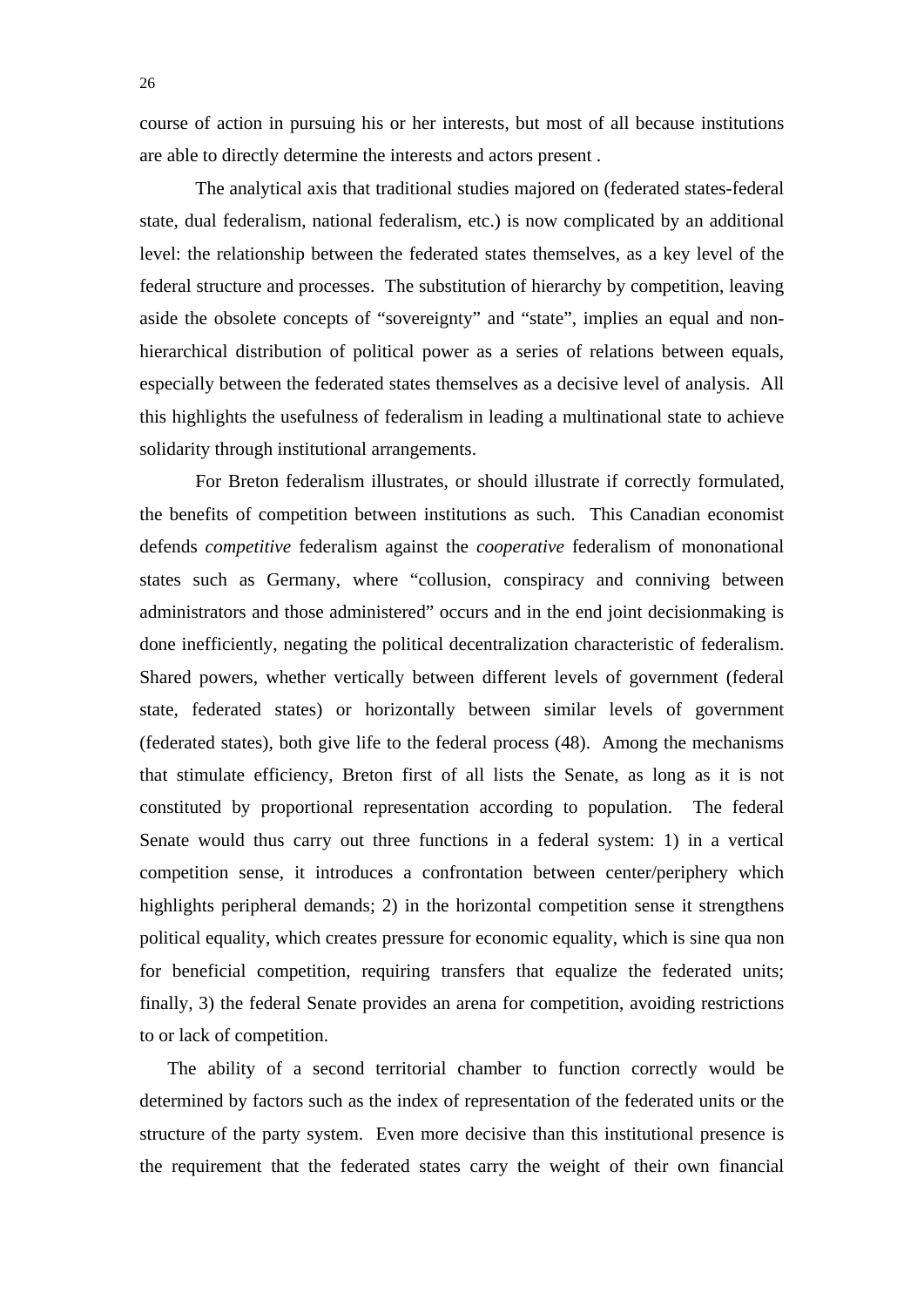course of action in pursuing his or her interests, but most of all because institutions are able to directly determine the interests and actors present .

 The analytical axis that traditional studies majored on (federated states-federal state, dual federalism, national federalism, etc.) is now complicated by an additional level: the relationship between the federated states themselves, as a key level of the federal structure and processes. The substitution of hierarchy by competition, leaving aside the obsolete concepts of "sovereignty" and "state", implies an equal and nonhierarchical distribution of political power as a series of relations between equals, especially between the federated states themselves as a decisive level of analysis. All this highlights the usefulness of federalism in leading a multinational state to achieve solidarity through institutional arrangements.

 For Breton federalism illustrates, or should illustrate if correctly formulated, the benefits of competition between institutions as such. This Canadian economist defends *competitive* federalism against the *cooperative* federalism of mononational states such as Germany, where "collusion, conspiracy and conniving between administrators and those administered" occurs and in the end joint decisionmaking is done inefficiently, negating the political decentralization characteristic of federalism. Shared powers, whether vertically between different levels of government (federal state, federated states) or horizontally between similar levels of government (federated states), both give life to the federal process (48). Among the mechanisms that stimulate efficiency, Breton first of all lists the Senate, as long as it is not constituted by proportional representation according to population. The federal Senate would thus carry out three functions in a federal system: 1) in a vertical competition sense, it introduces a confrontation between center/periphery which highlights peripheral demands; 2) in the horizontal competition sense it strengthens political equality, which creates pressure for economic equality, which is sine qua non for beneficial competition, requiring transfers that equalize the federated units; finally, 3) the federal Senate provides an arena for competition, avoiding restrictions to or lack of competition.

The ability of a second territorial chamber to function correctly would be determined by factors such as the index of representation of the federated units or the structure of the party system. Even more decisive than this institutional presence is the requirement that the federated states carry the weight of their own financial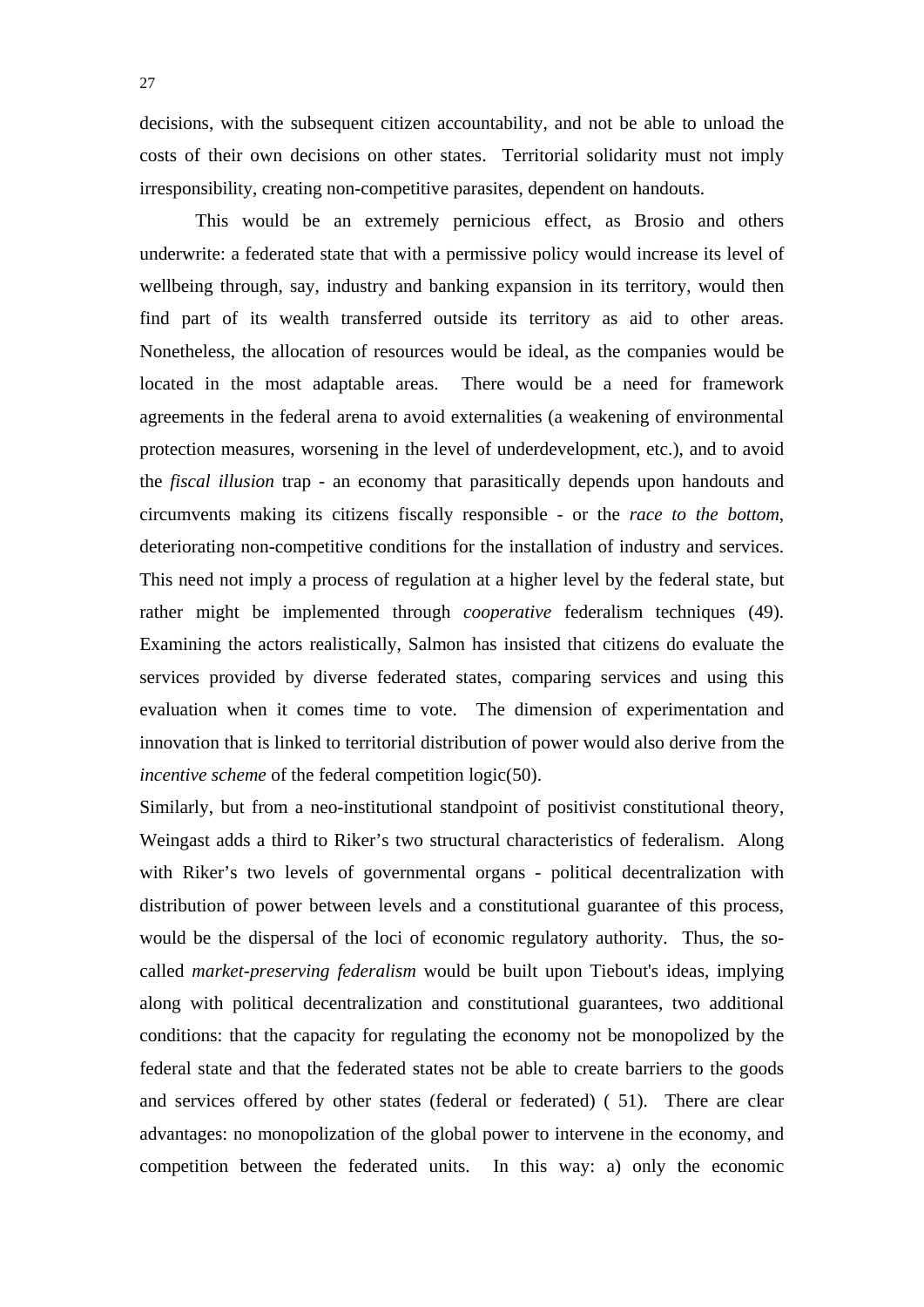decisions, with the subsequent citizen accountability, and not be able to unload the costs of their own decisions on other states. Territorial solidarity must not imply irresponsibility, creating non-competitive parasites, dependent on handouts.

 This would be an extremely pernicious effect, as Brosio and others underwrite: a federated state that with a permissive policy would increase its level of wellbeing through, say, industry and banking expansion in its territory, would then find part of its wealth transferred outside its territory as aid to other areas. Nonetheless, the allocation of resources would be ideal, as the companies would be located in the most adaptable areas. There would be a need for framework agreements in the federal arena to avoid externalities (a weakening of environmental protection measures, worsening in the level of underdevelopment, etc.), and to avoid the *fiscal illusion* trap - an economy that parasitically depends upon handouts and circumvents making its citizens fiscally responsible - or the *race to the bottom*, deteriorating non-competitive conditions for the installation of industry and services. This need not imply a process of regulation at a higher level by the federal state, but rather might be implemented through *cooperative* federalism techniques (49). Examining the actors realistically, Salmon has insisted that citizens do evaluate the services provided by diverse federated states, comparing services and using this evaluation when it comes time to vote. The dimension of experimentation and innovation that is linked to territorial distribution of power would also derive from the *incentive scheme* of the federal competition logic(50).

Similarly, but from a neo-institutional standpoint of positivist constitutional theory, Weingast adds a third to Riker's two structural characteristics of federalism. Along with Riker's two levels of governmental organs - political decentralization with distribution of power between levels and a constitutional guarantee of this process, would be the dispersal of the loci of economic regulatory authority. Thus, the socalled *market-preserving federalism* would be built upon Tiebout's ideas, implying along with political decentralization and constitutional guarantees, two additional conditions: that the capacity for regulating the economy not be monopolized by the federal state and that the federated states not be able to create barriers to the goods and services offered by other states (federal or federated) ( 51). There are clear advantages: no monopolization of the global power to intervene in the economy, and competition between the federated units. In this way: a) only the economic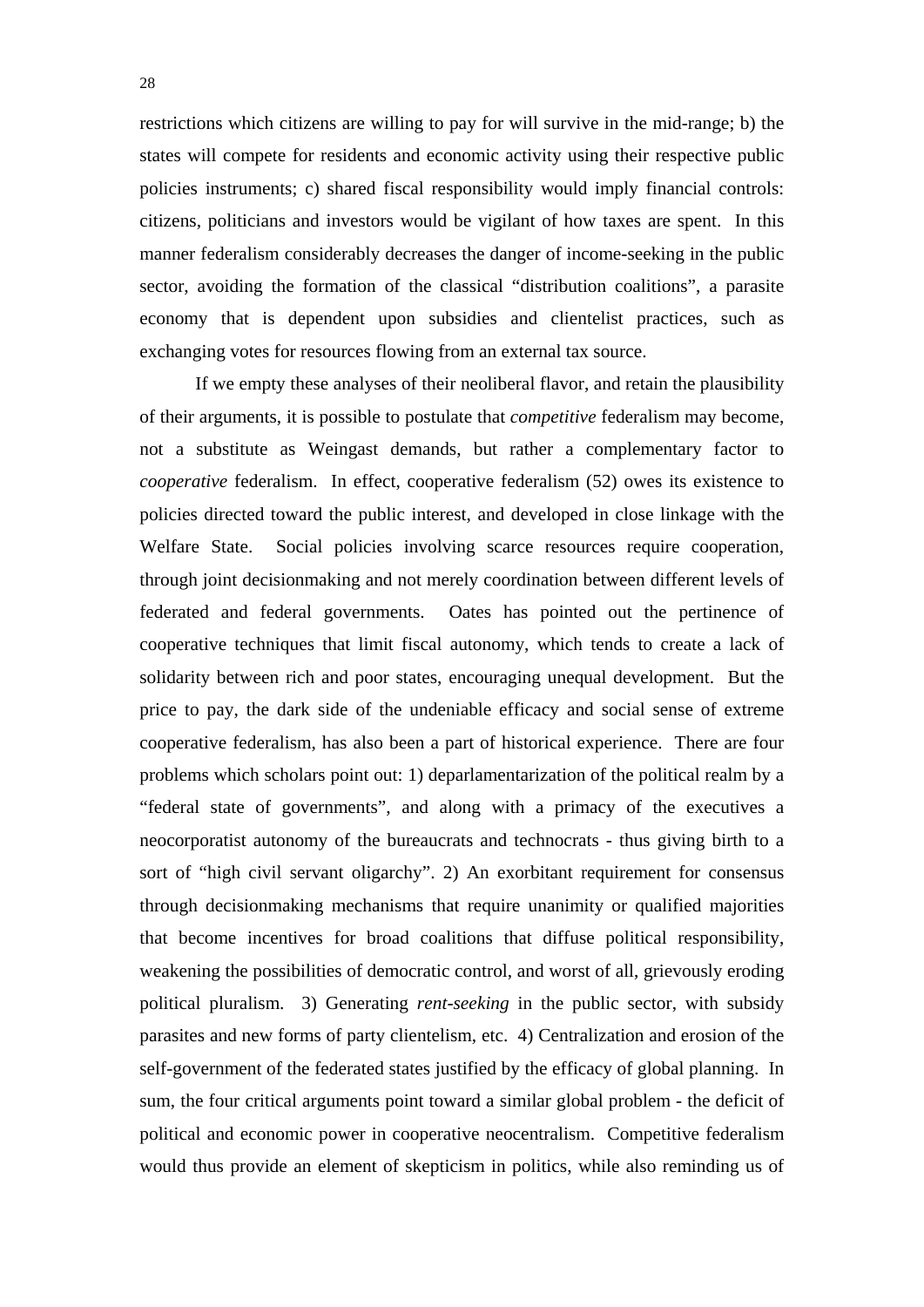restrictions which citizens are willing to pay for will survive in the mid-range; b) the states will compete for residents and economic activity using their respective public policies instruments; c) shared fiscal responsibility would imply financial controls: citizens, politicians and investors would be vigilant of how taxes are spent. In this manner federalism considerably decreases the danger of income-seeking in the public sector, avoiding the formation of the classical "distribution coalitions", a parasite economy that is dependent upon subsidies and clientelist practices, such as exchanging votes for resources flowing from an external tax source.

 If we empty these analyses of their neoliberal flavor, and retain the plausibility of their arguments, it is possible to postulate that *competitive* federalism may become, not a substitute as Weingast demands, but rather a complementary factor to *cooperative* federalism. In effect, cooperative federalism (52) owes its existence to policies directed toward the public interest, and developed in close linkage with the Welfare State. Social policies involving scarce resources require cooperation, through joint decisionmaking and not merely coordination between different levels of federated and federal governments. Oates has pointed out the pertinence of cooperative techniques that limit fiscal autonomy, which tends to create a lack of solidarity between rich and poor states, encouraging unequal development. But the price to pay, the dark side of the undeniable efficacy and social sense of extreme cooperative federalism, has also been a part of historical experience. There are four problems which scholars point out: 1) deparlamentarization of the political realm by a "federal state of governments", and along with a primacy of the executives a neocorporatist autonomy of the bureaucrats and technocrats - thus giving birth to a sort of "high civil servant oligarchy". 2) An exorbitant requirement for consensus through decisionmaking mechanisms that require unanimity or qualified majorities that become incentives for broad coalitions that diffuse political responsibility, weakening the possibilities of democratic control, and worst of all, grievously eroding political pluralism. 3) Generating *rent-seeking* in the public sector, with subsidy parasites and new forms of party clientelism, etc. 4) Centralization and erosion of the self-government of the federated states justified by the efficacy of global planning. In sum, the four critical arguments point toward a similar global problem - the deficit of political and economic power in cooperative neocentralism. Competitive federalism would thus provide an element of skepticism in politics, while also reminding us of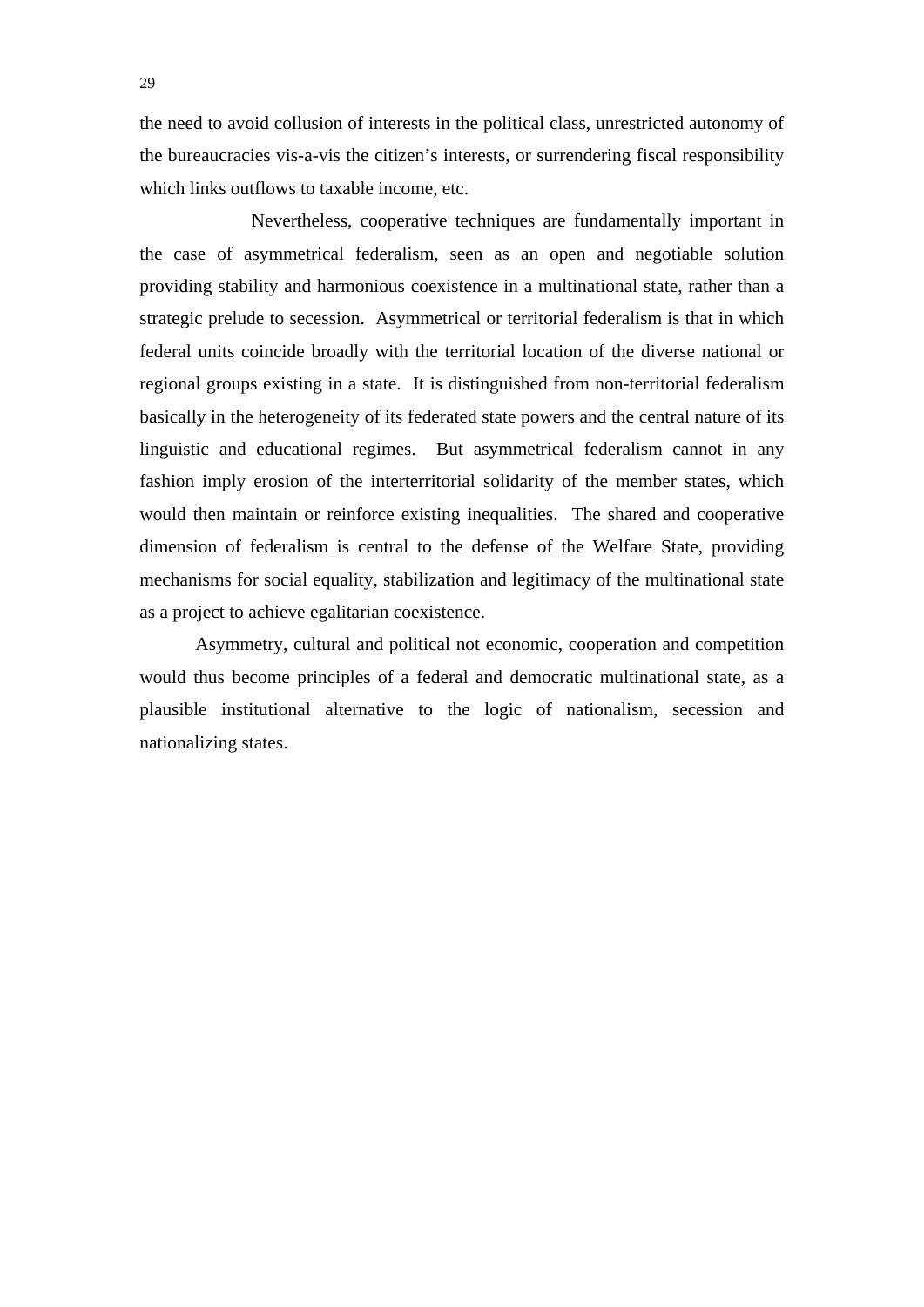the need to avoid collusion of interests in the political class, unrestricted autonomy of the bureaucracies vis-a-vis the citizen's interests, or surrendering fiscal responsibility which links outflows to taxable income, etc.

 Nevertheless, cooperative techniques are fundamentally important in the case of asymmetrical federalism, seen as an open and negotiable solution providing stability and harmonious coexistence in a multinational state, rather than a strategic prelude to secession. Asymmetrical or territorial federalism is that in which federal units coincide broadly with the territorial location of the diverse national or regional groups existing in a state. It is distinguished from non-territorial federalism basically in the heterogeneity of its federated state powers and the central nature of its linguistic and educational regimes. But asymmetrical federalism cannot in any fashion imply erosion of the interterritorial solidarity of the member states, which would then maintain or reinforce existing inequalities. The shared and cooperative dimension of federalism is central to the defense of the Welfare State, providing mechanisms for social equality, stabilization and legitimacy of the multinational state as a project to achieve egalitarian coexistence.

 Asymmetry, cultural and political not economic, cooperation and competition would thus become principles of a federal and democratic multinational state, as a plausible institutional alternative to the logic of nationalism, secession and nationalizing states.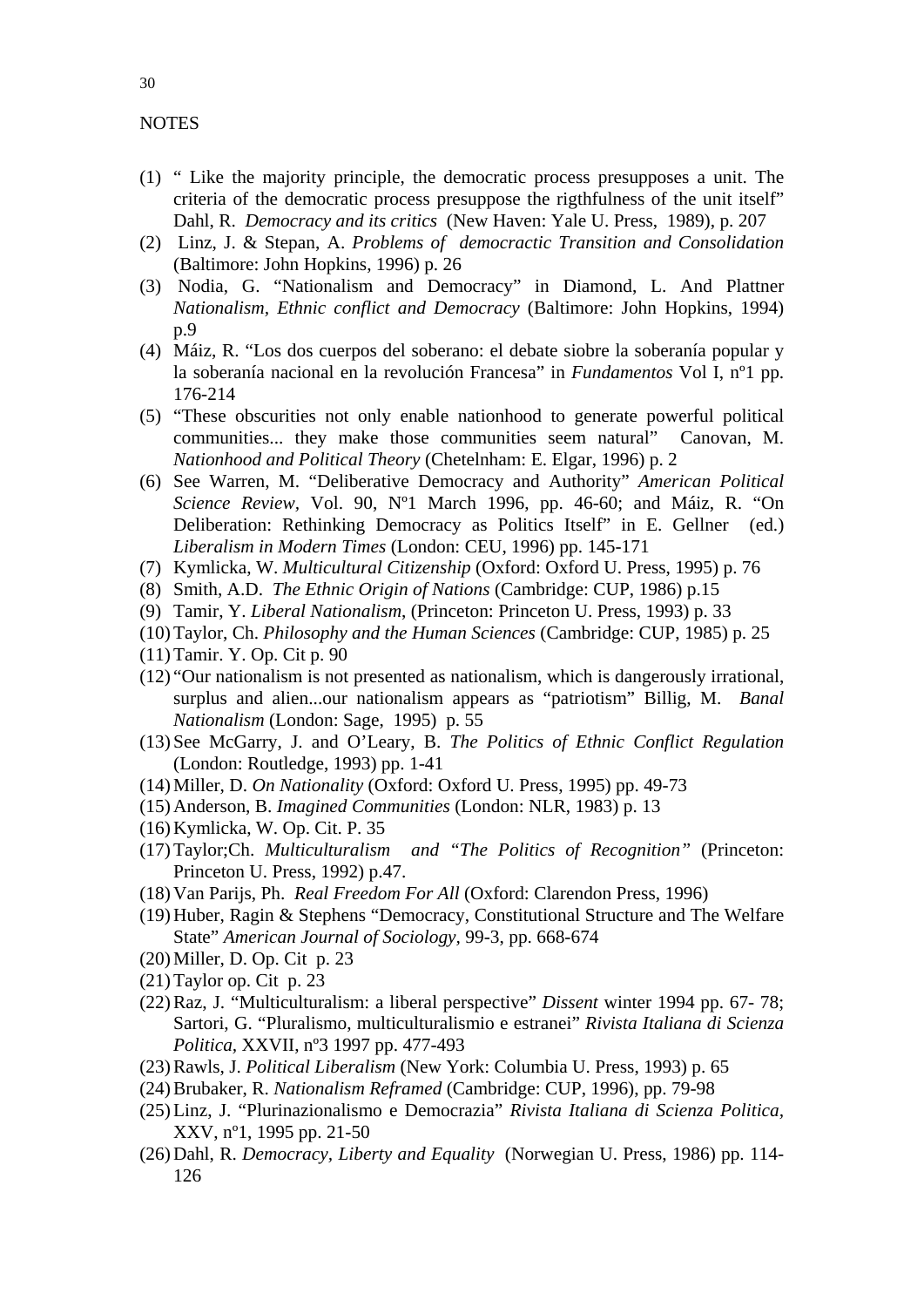#### **NOTES**

- (1) " Like the majority principle, the democratic process presupposes a unit. The criteria of the democratic process presuppose the rigthfulness of the unit itself" Dahl, R. *Democracy and its critics* (New Haven: Yale U. Press, 1989), p. 207
- (2) Linz, J. & Stepan, A. *Problems of democractic Transition and Consolidation*  (Baltimore: John Hopkins, 1996) p. 26
- (3) Nodia, G. "Nationalism and Democracy" in Diamond, L. And Plattner *Nationalism, Ethnic conflict and Democracy* (Baltimore: John Hopkins, 1994) p.9
- (4) Máiz, R. "Los dos cuerpos del soberano: el debate siobre la soberanía popular y la soberanía nacional en la revolución Francesa" in *Fundamentos* Vol I, nº1 pp. 176-214
- (5) "These obscurities not only enable nationhood to generate powerful political communities... they make those communities seem natural" Canovan, M. *Nationhood and Political Theory* (Chetelnham: E. Elgar, 1996) p. 2
- (6) See Warren, M. "Deliberative Democracy and Authority" *American Political Science Review,* Vol. 90, Nº1 March 1996, pp. 46-60; and Máiz, R. "On Deliberation: Rethinking Democracy as Politics Itself" in E. Gellner (ed.) *Liberalism in Modern Times* (London: CEU, 1996) pp. 145-171
- (7) Kymlicka, W. *Multicultural Citizenship* (Oxford: Oxford U. Press, 1995) p. 76
- (8) Smith, A.D. *The Ethnic Origin of Nations* (Cambridge: CUP, 1986) p.15
- (9) Tamir, Y. *Liberal Nationalism*, (Princeton: Princeton U. Press, 1993) p. 33
- (10)Taylor, Ch. *Philosophy and the Human Sciences* (Cambridge: CUP, 1985) p. 25
- (11)Tamir. Y. Op. Cit p. 90
- (12) "Our nationalism is not presented as nationalism, which is dangerously irrational, surplus and alien...our nationalism appears as "patriotism" Billig, M. *Banal Nationalism* (London: Sage, 1995) p. 55
- (13) See McGarry, J. and O'Leary, B. *The Politics of Ethnic Conflict Regulation* (London: Routledge, 1993) pp. 1-41
- (14)Miller, D. *On Nationality* (Oxford: Oxford U. Press, 1995) pp. 49-73
- (15) Anderson, B. *Imagined Communities* (London: NLR, 1983) p. 13
- (16) Kymlicka, W. Op. Cit. P. 35
- (17)Taylor;Ch. *Multiculturalism and "The Politics of Recognition"* (Princeton: Princeton U. Press, 1992) p.47.
- (18) Van Parijs, Ph. *Real Freedom For All* (Oxford: Clarendon Press, 1996)
- (19) Huber, Ragin & Stephens "Democracy, Constitutional Structure and The Welfare State" *American Journal of Sociology,* 99-3, pp. 668-674
- (20)Miller, D. Op. Cit p. 23
- (21)Taylor op. Cit p. 23
- (22)Raz, J. "Multiculturalism: a liberal perspective" *Dissent* winter 1994 pp. 67- 78; Sartori, G. "Pluralismo, multiculturalismio e estranei" *Rivista Italiana di Scienza Politica,* XXVII, nº3 1997 pp. 477-493
- (23)Rawls, J. *Political Liberalism* (New York: Columbia U. Press, 1993) p. 65
- (24)Brubaker, R. *Nationalism Reframed* (Cambridge: CUP, 1996), pp. 79-98
- (25)Linz, J. "Plurinazionalismo e Democrazia" *Rivista Italiana di Scienza Politica,*  XXV, nº1, 1995 pp. 21-50
- (26) Dahl, R. *Democracy, Liberty and Equality* (Norwegian U. Press, 1986) pp. 114- 126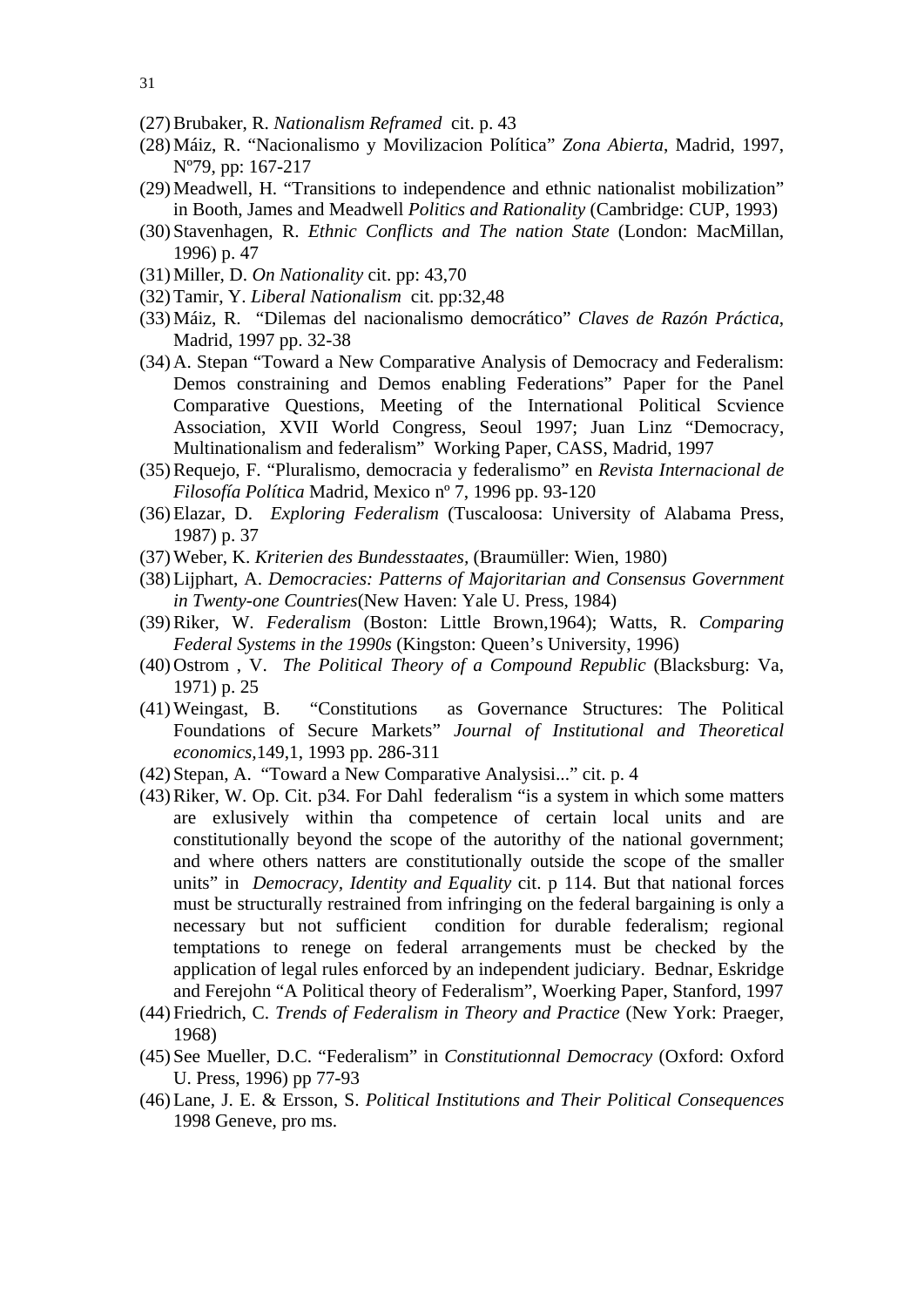- (27)Brubaker, R. *Nationalism Reframed* cit. p. 43
- (28)Máiz, R. "Nacionalismo y Movilizacion Política" *Zona Abierta*, Madrid, 1997, Nº79, pp: 167-217
- (29)Meadwell, H. "Transitions to independence and ethnic nationalist mobilization" in Booth, James and Meadwell *Politics and Rationality* (Cambridge: CUP, 1993)
- (30) Stavenhagen, R. *Ethnic Conflicts and The nation State* (London: MacMillan, 1996) p. 47
- (31)Miller, D. *On Nationality* cit. pp: 43,70
- (32)Tamir, Y. *Liberal Nationalism* cit. pp:32,48
- (33)Máiz, R. "Dilemas del nacionalismo democrático" *Claves de Razón Práctica*, Madrid, 1997 pp. 32-38
- (34) A. Stepan "Toward a New Comparative Analysis of Democracy and Federalism: Demos constraining and Demos enabling Federations" Paper for the Panel Comparative Questions, Meeting of the International Political Scvience Association, XVII World Congress, Seoul 1997; Juan Linz "Democracy, Multinationalism and federalism" Working Paper, CASS, Madrid, 1997
- (35)Requejo, F. "Pluralismo, democracia y federalismo" en *Revista Internacional de Filosofía Política* Madrid, Mexico nº 7, 1996 pp. 93-120
- (36)Elazar, D. *Exploring Federalism* (Tuscaloosa: University of Alabama Press, 1987) p. 37
- (37)Weber, K. *Kriterien des Bundesstaates,* (Braumüller: Wien, 1980)
- (38)Lijphart, A. *Democracies: Patterns of Majoritarian and Consensus Government in Twenty-one Countries*(New Haven: Yale U. Press, 1984)
- (39)Riker, W. *Federalism* (Boston: Little Brown,1964); Watts, R. *Comparing Federal Systems in the 1990s* (Kingston: Queen's University, 1996)
- (40) Ostrom , V. *The Political Theory of a Compound Republic* (Blacksburg: Va, 1971) p. 25
- (41)Weingast, B. "Constitutions as Governance Structures: The Political Foundations of Secure Markets" *Journal of Institutional and Theoretical economics,*149,1, 1993 pp. 286-311
- (42) Stepan, A. "Toward a New Comparative Analysisi..." cit. p. 4
- (43)Riker, W. Op. Cit. p34. For Dahl federalism "is a system in which some matters are exlusively within tha competence of certain local units and are constitutionally beyond the scope of the autorithy of the national government; and where others natters are constitutionally outside the scope of the smaller units" in *Democracy, Identity and Equality* cit. p 114. But that national forces must be structurally restrained from infringing on the federal bargaining is only a necessary but not sufficient condition for durable federalism; regional temptations to renege on federal arrangements must be checked by the application of legal rules enforced by an independent judiciary. Bednar, Eskridge and Ferejohn "A Political theory of Federalism", Woerking Paper, Stanford, 1997
- (44) Friedrich, C. *Trends of Federalism in Theory and Practice* (New York: Praeger, 1968)
- (45) See Mueller, D.C. "Federalism" in *Constitutionnal Democracy* (Oxford: Oxford U. Press, 1996) pp 77-93
- (46)Lane, J. E. & Ersson, S. *Political Institutions and Their Political Consequences* 1998 Geneve, pro ms.